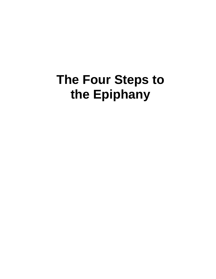# **The Four Steps to the Epiphany**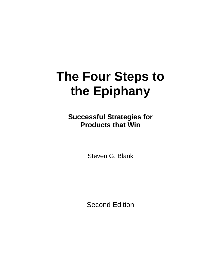# **The Four Steps to the Epiphany**

**Successful Strategies for Products that Win** 

Steven G. Blank

Second Edition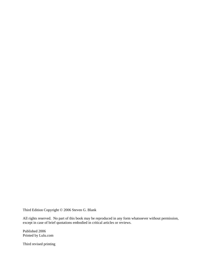Third Edition Copyright © 2006 Steven G. Blank

All rights reserved. No part of this book may be reproduced in any form whatsoever without permission, except in case of brief quotations embodied in critical articles or reviews.

Published 2006 Printed by Lulu.com

Third revised printing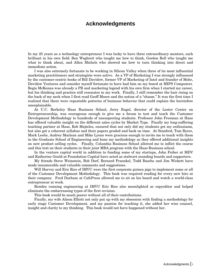## **Acknowledgments**

In my 25 years as a technology entrepreneur I was lucky to have three extraordinary mentors, each brilliant in his own field: Ben Wegbreit who taught me how to think, Gordon Bell who taught me what to think about, and Allen Michels who showed me how to turn thinking into direct and immediate action.

I was also extremely fortunate to be working in Silicon Valley when three of its most influential marketing practitioners and strategists were active. As a VP of Marketing I was strongly influenced by the customer-centric books of Bill Davidow, former VP of Marketing of Intel and founder of Mohr, Davidow Ventures and consider myself fortunate to have had him on my board at MIPS Computers. Regis McKenna was already a PR and marketing legend with his own firm when I started my career, but his thinking and practice still resonates in my work. Finally, I still remember the hair rising on the back of my neck when I first read Geoff Moore and the notion of a "chasm." It was the first time I realized that there were repeatable patterns of business behavior that could explain the heretofore unexplainable.

At U.C. Berkeley Haas Business School, Jerry Engel, director of the Lester Center on Entrepreneurship, was courageous enough to give me a forum to test and teach the Customer Development Methodology to hundreds of unsuspecting students. Professor John Freeman at Haas has offered valuable insight on the different sales cycles by Market Type. Finally my long-suffering teaching partner at Haas, Rob Majteles, ensured that not only did my students get my enthusiasm, but also got a coherent syllabus and their papers graded and back on time. At Stanford, Tom Byers, Mark Leslie, Audrey Maclean and Mike Lyons were gracious enough to invite me to teach with them in the Graduate School of Engineering and hone my methodology as they offered additional insights on new product selling cycles. Finally, Columbia Business School allowed me to inflict the course and this text on their students in their joint MBA program with the Haas Business school.

In the venture capital world in addition to funding some of my startups, John Feiber at MDV and Katherine Gould at Foundation Capital have acted as stalwart sounding boards and supporters.

My friends Steve Weinstein, Bob Dorf, Bernard Fraenkel, Todd Basche and Jim Wickett have made innumerable and valuable comments and suggestions.

Will Harvey and Eric Ries of IMVU were the first corporate guinea pigs to implement some or all of the Customer Development Methodology. This book was required reading for every new hire at their company. Fred Durham at CafePress allowed me to sit on his board and watch a world-class entrepreneur at work.

Besides running engineering at IMVU Eric Ries also moonlighted as copyeditor and helped eliminate the embarrassing typos of the first revision.

This book would be much poorer without all of their contributions.

Finally, my wife Alison Elliott not only put up with my obsession with finding a methodology for early stage Customer Development, and my passion for teaching it, she added her wise counsel, insight and clarity to my thinking. This book would not have happened without her.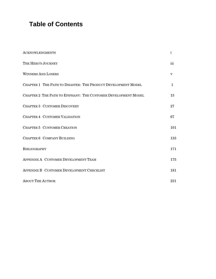## **Table of Contents**

| <b>ACKNOWLEDGMENTS</b>                                         | $\mathbf{I}$ |
|----------------------------------------------------------------|--------------|
| THE HERO'S JOURNEY                                             | iii          |
| <b>WINNERS AND LOSERS</b>                                      | V            |
| CHAPTER 1 THE PATH TO DISASTER: THE PRODUCT DEVELOPMENT MODEL  | $\mathbf{1}$ |
| CHAPTER 2 THE PATH TO EPIPHANY: THE CUSTOMER DEVELOPMENT MODEL | 15           |
| <b>CHAPTER 3 CUSTOMER DISCOVERY</b>                            | 27           |
| CHAPTER 4 CUSTOMER VALIDATION                                  | 67           |
| CHAPTER 5 CUSTOMER CREATION                                    | 101          |
| CHAPTER 6 COMPANY BUILDING                                     | 133          |
| <b>BIBLIOGRAPHY</b>                                            | 171          |
| APPENDIX A CUSTOMER DEVELOPMENT TEAM                           | 175          |
| APPENDIX B CUSTOMER DEVELOPMENT CHECKLIST                      | 181          |
| <b>ABOUT THE AUTHOR</b>                                        | 231          |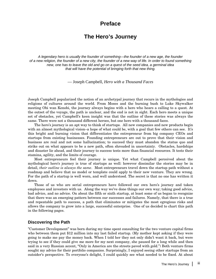## **Preface**

## **The Hero's Journey**

*A legendary hero is usually the founder of something—the founder of a new age, the founder of a new religion, the founder of a new city, the founder of a new way of life. In order to found something new, one has to leave the old and go on a quest of the seed idea, a germinal idea that will have the potential of bringing forth that new thing.* 

— Joseph Campbell, *Hero with a Thousand Faces* 

Joseph Campbell popularized the notion of an archetypal journey that recurs in the mythologies and religions of cultures around the world. From Moses and the burning bush to Luke Skywalker meeting Obi wan Kenobi, the journey always begins with a hero who hears a calling to a quest. At the outset of the voyage, the path is unclear, and the end is not in sight. Each hero meets a unique set of obstacles, yet Campbell's keen insight was that the outline of these stories was always the same. There were not a thousand different heroes, but one hero with a thousand faces.

The hero's journey is an apt way to think of startups. All new companies and new products begin with an almost mythological vision–a hope of what could be, with a goal that few others can see. It's this bright and burning vision that differentiates the entrepreneur from big company CEOs and startups from existing businesses. Founding entrepreneurs are out to prove that their vision and business are real and not some hallucination; to succeed they must abandon the status quo and strike out on what appears to be a new path, often shrouded in uncertainty. Obstacles, hardships and disaster lie ahead, and their journey to success tests more than financial resources. It tests their stamina, agility, and the limits of courage.

Most entrepreneurs feel their journey is unique. Yet what Campbell perceived about the mythological hero's journey is true of startups as well: however dissimilar the stories may be in detail, *their outline is always the same*. Most entrepreneurs travel down the startup path without a roadmap and believe that no model or template could apply to their new venture. They are wrong. For the path of a startup is well worn, and well understood. The secret is that no one has written it down.

Those of us who are serial entrepreneurs have followed our own hero's journey and taken employees and investors with us. Along the way we've done things our own way; taking good advice, bad advice, and no advice. On about the fifth or sixth startup, at least some of us began to recognize that there was an emerging pattern between our successes and failures. Namely, that there is a true and repeatable path to success, a path that eliminates or mitigates the most egregious risks and allows the company to grow into a large, successful enterprise. One of us decided to chart this path in the following pages.

#### **Discovering the Path**

"Customer Development" was born during my time spent consulting for the two venture capital firms who between them put \$12 million into my last failed startup. (My mother kept asking if they were going to make me pay the money back. When I told her they not only didn't want it back, but were trying to see if they could give me more for my next company, she paused for a long while and then said in a very Russian accent, "Only in America are the streets paved with gold.") Both venture firms sought my advice for their portfolio companies. Surprisingly, I enjoyed seeing other startups from an outsider's perspective. To everyone's delight, I could quickly see what needed to be fixed. At about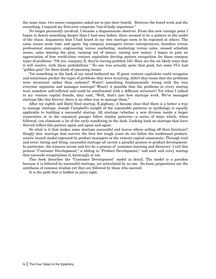the same time, two newer companies asked me to join their boards. Between the board work and the consulting, I enjoyed my first-ever corporate "out-of-body experience."

No longer personally involved, I became a dispassionate observer. From this new vantage point I began to detect something deeper than I had seen before: there seemed to be a pattern in the midst of the chaos. Arguments that I had heard at my own startups seem to be repeated at others. The same issues arose time and again: big company managers versus entrepreneurs, founders versus professional managers, engineering versus marketing, marketing versus sales, missed schedule issues, sales missing the plan, running out of money, raising new money. I began to gain an appreciation of how world-class venture capitalists develop pattern recognition for these common types of problems. "Oh yes, company X, they're having problem 343. Here are the six likely ways that it will resolve, with these probabilities." No one was actually quite that good, but some VCs had "golden guts" for these kinds of operating issues.

Yet something in the back of my mind bothered me. If great venture capitalists could recognize and sometimes predict the types of problems that were occurring, didn't that mean that the problems were structural rather than endemic? Wasn't something fundamentally wrong with the way everyone organizes and manages startups? Wasn't it possible that the problems in every startup were somehow self-inflicted and could be ameliorated with a different structure? Yet when I talked to my venture capital friends, they said, "Well, that's just how startups work. We've managed startups like this forever; there is no other way to manage them."

After my eighth and likely final startup, E.piphany, it became clear that there *is* a better a way to manage startups. Joseph Campbell's insight of the repeatable patterns in mythology is equally applicable to building a successful startup. All startups (whether a new division inside a larger corporation or in the canonical garage) follow similar patterns—a series of steps which, when followed, can eliminate a lot of the early wandering in the dark. Looking back on startups that have thrived reflect this pattern again and again and again.

So what is it that makes some startups successful and leaves others selling off their furniture? Simply this: startups that survive the first few tough years do *not* follow the traditional productcentric launch model espoused by product managers or the venture capital community. Through trial and error, hiring and firing, successful startups all invent a parallel process to product development. In particular, the winners invent and live by a process of customer learning and discovery. I call this process "Customer Development," a sibling to "Product Development," and each and every startup that succeeds recapitulates it, knowingly or not.

This book describes the "Customer Development" model in detail. The model is a paradox because it is followed by successful startups, yet articulated by no one. Its basic propositions are the antithesis of common wisdom yet they are followed by those who succeed.

It is the path that is hidden in plain sight.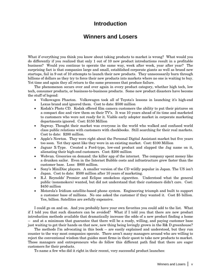## **Introduction**

## **Winners and Losers**

What if everything you think you know about taking products to market is wrong? What would you do differently if you realized that only 1 out of 10 new product introductions result in a profitable business? Would you continue to operate the same way, week after week, year after year? The surprising fact is that companies large and small, established corporate giants as well as brand new startups, fail in 9 out of 10 attempts to launch their new products. They unnecessarily burn through billions of dollars as they try to force their new products into markets where no one is waiting to buy. Yet time and again they all return to the same processes that produce failure.

The phenomenon occurs over and over again in every product category, whether high tech, low tech, consumer products, or business-to-business products. Some new product disasters have become the stuff of legend:

- Volkswagen Phaeton. Volkswagen took all of Toyota's lessons in launching it's high-end Lexus brand and ignored them. Cost to date: \$500 million
- Kodak's Photo CD. Kodak offered film camera customers the ability to put their pictures on a compact disc and view them on their TV's. It was 10 years ahead of its time and marketed to customers who were not ready for it. Viable early adopter market in corporate marketing departments ignored. Cost: \$150 Million
- Segway. Thought their market was everyone in the world who walked and confused world class public relations with customers with checkbooks. Still searching for their real markets. Cost to date: \$200 million.
- Apple's Newton. They were right about the Personal Digital Assistant market but five years too soon. Yet they spent like they were in an existing market. Cost: \$100 Million
- Jaguar X-Type. Created a Ford-type, low-end product and slapped the Jag name on it, alienating their high-end customers. Cost: \$200 million
- Webvan. Groceries on demand: the killer app of the internet. The company spent money like a drunken sailor. Even in the Internet Bubble costs and infrastructure grew faster than the customer base. Loss: \$800 million.
- Sony's MiniDisc players. A smaller version of the CD wildly popular in Japan. The US isn't Japan. Cost to date: \$500 million after 10 years of marketing.
- R.J. Reynolds' Premier and Eclipse smokeless cigarettes. Understood what the general public (nonsmokers) wanted, but did not understand that their customers didn't care. Cost: \$450 million
- Motorola's Iridium satellite-based phone system. Engineering triumph and built to support a customer base of millions. No one asked the customer if they wanted it. Cost \$5 billion. Yes, billion. Satellites are awfully expensive.

I could go on and on. And you probably have your own favorites you could add to the list. What if I told you that such disasters can be avoided? What if I told you that there are new product introduction methods available that dramatically increase the odds of a new product finding a home -- and at a minimum that guarantee that there will be a ready, willing, and paying customer base just waiting to get their hands on that new, new thing being lovingly grown in the R& D greenhouse?

The methods I'm advocating in this book -- are easily explained and understood, but they run counter to the way most companies operate. There aren't many managers around who are willing to reject the conventional wisdom that guides most firms in their quest to take new products to market. Those managers and entrepreneurs who do follow this different path find that there are eager customers for their products.

To name a few who did it right in their recent, very successful product launches: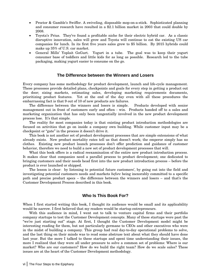- Proctor & Gamble's Swiffer. A swiveling, disposable mop-on-a-stick. Sophisticated planning and consumer research have resulted in a \$2.1 billion market in 2003 that could double by 2008.
- Toyota's Prius. They've found a profitable niche for their electric hybrid car. As a classic disruptive innovation, sales will grow and Toyota will continue to eat the existing US car companies for lunch. In its first five years sales grew to \$5 billion. By 2015 hybrids could make up 35% of U.S. car market.
- General Mills' Yoplait GoGurt. Yogurt in a tube. The goal was to keep their yogurt consumer base of toddlers and little kids for as long as possible. Research led to the tube packaging, making yogurt easier to consume on the go.

#### **The Difference between the Winners and Losers**

Every company has some methodology for product development, launch and life-cycle management. These processes provide detailed plans, checkpoints and goals for every step in getting a product out the door; sizing markets, estimating sales, developing marketing requirements documents, prioritizing product features. Yet at the end of the day even with all these procedures the embarrassing fact is that 9 out of 10 of new products are failures.

The difference between the winners and losers is simple. Products developed with senior management out in front of customers early and often - win. Products handed off to a sales and marketing organization that has only been tangentially involved in the new product development process lose. It's that simple.

The reality for most companies today is that existing product introduction methodologies are focused on activities that go on inside a company own building. While customer input may be a checkpoint or "gate" in the process it doesn't drive it.

This book is not another set of product development processes that are simple extensions of what already exists. New product mortality rates tell us that doesn't work; the emperor simply has no clothes. Existing new product launch processes don't offer prediction and guidance of customer behavior, therefore we need to build a new set of product development processes that will.

What this book offers is a radical reexamination of the entire new product introduction process. It makes clear that companies need a parallel process to product development; one dedicated to bringing customers and their needs head first into the new product introduction process – before the product is ever launched or shipped.

The lesson is clear: by listening to potential future customers', by going out into the field and investigating potential customers needs and markets *before* being inexorably committed to a specific path and precise product specs – the difference between the winners and losers – and that's the Customer Development Process described in this book.

#### **Who Is This Book For?**

When I first started writing this book, I thought its audience would be small and its applicability would be narrow. I first believed that my readers would be startup entrepreneurs.

With this audience in mind, I went out to talk to venture capital firms and their portfolio company startups to test the Customer Development concepts. Many of these startups were past the "we're just starting out" stage. At first, I thought the Customer Development model might be interesting reading for them, but not particularly germane to CEOs and other executives who were in the midst of building a company. This group had real day-to-day operational problems to solve, and the last thing on their minds was to read some abstruse text about what they should have done last year. But the more I talked to these startups and spent time understanding their issues, the more I realized that they were all under pressure to solve a common set of problems: Where is our market? Who are our customers? How do we build the right team? How do we scale sales? These issues are at the heart of the Customer Development methodology.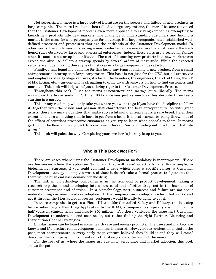Not surprisingly, there is a large body of literature on the success and failure of new products in large companies. The more I read and then talked to large corporations, the more I became convinced that the Customer Development model is even more applicable to existing companies attempting to launch new products into new markets. The challenge of understanding customers and finding a market is the same for a large company as for a startup. But large companies have established welldefined processes and procedures that are the antithesis of the Customer Development model. In other words, the guidelines for starting a new product in a new market are the antithesis of the wellhoned rules observed by large and successful enterprises. Indeed, those rules are a recipe for failure when it comes to a startup-like initiative. The cost of launching new products into new markets can exceed the absolute dollars a startup spends by several orders of magnitude. While the expected returns are huge, making these type of mistakes in a large company can be catastrophic.

Finally, I had found my audience for this book: any team launching a new product, from a small entrepreneurial startup to a large corporation. This book is not just for the CEO but all executives and employees of early stage ventures; it's for all the founders, the engineers, the VP of Sales, the VP of Marketing, etc. – anyone who is struggling to come up with answers on how to find customers and markets. This book will help all of you to bring rigor to the Customer Development Process.

Throughout this book, I use the terms *entrepreneur* and *startup* quite liberally. The terms encompass the brave souls in Fortune 1000 companies just as much as they describe three teens starting in a garage.

This or any road map will only take you where you want to go if you have the discipline to follow it, together with the vision and passion that characterize the best entrepreneurs. As with great artists, these are innate qualities that make successful serial entrepreneurs a rare breed. Relentless execution is also something that is hard to get from a book. It is best learned by being thrown out of the offices of countless prospective customers as you try to learn what appeals to them. It means getting off the floor and going back to a customer who said "no" and finding out how to turn that into a "yes."

This book will point the way. Completing your own hero's journey is up to you.

#### **Who Is This Book** *Not* **For?**

There are cases where using the Customer Development methodology is inappropriate. There are businesses where the aphorism "build and they will come" is actually true. For example, in biotechnology startups, if you could can find a drug which cures a specific cancer, a Customer Development strategy is simply a waste of time; it doesn't take a formal process to figure out that there will be huge end user demand for the drug.

The risk in biotechnology companies is in the front-end of product development; taking a research hypothesis and developing into a successful and effective drug, not in the back-end of customer acceptance and adoption. In a biotechnology startup success and failure are not about understanding customer needs or adoption. If the company can develop a product that works and get it through the FDA approval process, customers would literally be dying to get it.

In these companies to get to a Phase III trial (for Controlled Safety and Efficacy, the last step before submitting a New Drug Application to the FDA), a company has typically spent four and a half years in clinical trials and nearly \$50 million. For these ventures, the issue isn't Customer Development to understand end user needs, but rather finding the right Partner, Licensing and Distribution Channel strategies.

Similar issues can be found in some health care and energy products. The users and markets are known and if a product can development business is assured. However, our contention is that in the past, most entrepreneurs in every early stage venture believed that "build it and they will come" described their company. Our contention is that it only covers the few, not the many.

For the rest of us, where the issues are customer acceptance and market adoption, this book shows the path.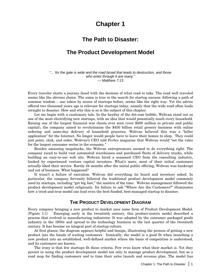## **Chapter 1**

## **The Path to Disaster:**

## **The Product Development Model**

*"… for the gate is wide and the road broad that leads to destruction, and those who enter through it are many." — Matthew 7:13* 

Every traveler starts a journey faced with the decision of what road to take. The road well traveled seems like the obvious choice. The same is true in the search for startup success: following a path of common wisdom – one taken by scores of startups before, seems like the right way. Yet the advice offered two thousand years ago is relevant for startups today, namely that the wide road often leads straight to disaster. How and why this is so is the subject of this chapter.

Let me begin with a cautionary tale. In the heyday of the dot-com bubble, Webvan stood out as one of the most electrifying new startups, with an idea that would potentially touch every household. Raising one of the largest financial war chests ever seen (over \$800 million in private and public capital), the company aimed to revolutionize the \$450 billion retail grocery business with online ordering and same-day delivery of household groceries. Webvan believed this was a "killer application" for the Internet. No longer would people have to leave their homes to shop. They could just point, click, and order. Webvan's CEO told *Forbes* magazine that Webvan would "set the rules for the largest consumer sector in the economy."

Besides amassing megabucks, the Webvan entrepreneurs seemed to do everything right. The company raced to build vast automated warehouses and purchased fleets of delivery trucks, while building an easy-to-use web site. Webvan hired a seasoned CEO from the consulting industry, backed by experienced venture capital investors. What's more, most of their initial customers actually liked their service. Barely 24 months after the initial public offering, Webvan was bankrupt and out of business. What happened?

It wasn't a failure of execution. Webvan did everything its board and investors asked. In particular, the company fervently followed the traditional product development model commonly used by startups, including "get big fast," the mantra of the time. Webvan management followed the product development model religiously. Its failure to ask "Where Are the Customers?" illuminates how a tried-and-true model can lead even the best-funded, best-managed startup to disaster.

### **THE PRODUCT DEVELOPMENT DIAGRAM**

Every company bringing a new product to market uses some form of Product Development Model. (Figure 1.1) Emerging early in the twentieth century, this product-centric model described a process that evolved in manufacturing industries. It was adopted by the consumer packaged goods industry in the 1950s and spread to the technology business in the last quarter of the twentieth century. It has become an integral part of startup culture.

At first glance, the diagram appears helpful and benign, illustrating the process of getting a new product into the hands of waiting customers. Ironically, the model is a good fit when launching a new product into an established, well-defined market where the basis of competition is understood, and its customers are known.

The irony is that few startups fit these criteria. Few even know what their market is. Yet they persist in using the product development model not only to manage product development, but as a road map for finding customers and to time their sales launch and revenue plan. The model has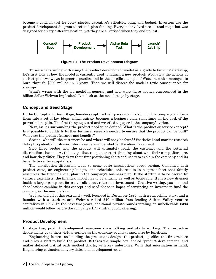become a catchall tool for every startup executive's schedule, plan, and budget. Investors use the product development diagram to set and plan funding. Everyone involved uses a road map that was designed for a very different location, yet they are surprised when they end up lost.



**Figure 1.1 The Product Development Diagram** 

To see what's wrong with using the product development model as a guide to building a startup, let's first look at how the model is currently used to launch a new product. We'll view the actions at each step in two ways: in general practice and in the specific example of Webvan, which managed to burn through \$800 million in 3 years. Then we will dissect the model's toxic consequences for startups.

What's wrong with the old model in general, and how were those wrongs compounded in the billion-dollar Webvan implosion? Lets look at the model stage-by-stage.

#### **Concept and Seed Stage**

In the Concept and Seed Stage, founders capture their passion and vision for the company and turn them into a set of key ideas, which quickly becomes a business plan, sometimes on the back of the proverbial napkin. The first thing captured and wrestled to paper is the company's vision.

Next, issues surrounding the product need to be defined: What is the product or service concept? Is it possible to build? Is further technical research needed to ensure that the product can be built? What are the product features and benefits?

Second, who will the customers be and where will they be found? Statistical and market research data plus potential customer interviews determine whether the ideas have merit.

Step three probes how the product will ultimately reach the customer and the potential distribution channel. At this stage that companies start thinking about who their competitors are, and how they differ. They draw their first positioning chart and use it to explain the company and its benefits to venture capitalists.

The distribution discussion leads to some basic assumptions about pricing. Combined with product costs, an engineering budget, and schedules, this results in a spreadsheet that faintly resembles the first financial plan in the company's business plan. If the startup is to be backed by venture capitalists, the financial model has to be alluring as well as believable. If it's a new division inside a larger company, forecasts talk about return on investment. Creative writing, passion, and shoe leather combine in this concept and seed phase in hopes of convincing an investor to fund the company or the new division.

Webvan did all of this extremely well. Founded in December 1996, with a compelling story, and a founder with a track record, Webvan raised \$10 million from leading Silicon Valley venture capitalists in 1997. In the next two years, additional private rounds totaling an unbelievable \$393 million would follow before the company's IPO (initial public offering).

#### **Product Development**

In stage two, product development, everyone stops talking and starts working. The respective departments go to their virtual corners as the company begins to specialize by functions.

Engineering focuses on building the product; it designs the product, specifies the first release and hires a staff to build the product. It takes the simple box labeled "product development" and makes detailed critical path method charts, with key milestones. With that information in hand, Engineering estimates delivery dates and development costs.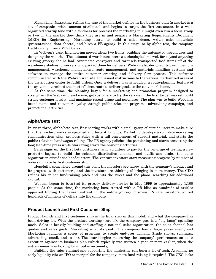Meanwhile, Marketing refines the size of the market defined in the business plan (a market is a set of companies with common attributes), and begins to target the first customers. In a wellorganized startup (one with a fondness for process) the marketing folk might even run a focus group or two on the market they think they are in and prepare a Marketing Requirements Document (MRD) for Engineering. Marketing starts to build a sales demo, writes sales materials (presentations, data sheets), and hires a PR agency. In this stage, or by alpha test, the company traditionally hires a VP of Sales.

In Webvan's case, Engineering moved along two fronts: building the automated warehouses and designing the web site. The automated warehouses were a technological marvel, far beyond anything existing grocery chains had. Automated conveyors and carousels transported food items off of the warehouse shelves to workers who packed them for delivery. Webvan also designed its own inventory management, warehouse management, route management, and materials handling systems and software to manage the entire customer ordering and delivery flow process. This software communicated with the Webvan web site and issued instructions to the various mechanized areas of the distribution center to fulfill orders. Once a delivery was scheduled, a route-planning feature of the system determined the most efficient route to deliver goods to the customer's home.

At the same time, the planning began for a marketing and promotion program designed to strengthen the Webvan brand name, get customers to try the service in the first target market, build strong customer loyalty, and maximize repeat usage and purchases. The plan was to build Webvan's brand name and customer loyalty through public relations programs, advertising campaign, and promotional activities.

#### **Alpha/Beta Test**

In stage three, alpha/beta test, Engineering works with a small group of outside users to make sure that the product works as specified and tests it for bugs. Marketing develops a complete marketing communications plan, provides Sales with a full complement of support material, and starts the public relations bandwagon rolling. The PR agency polishes the positioning and starts contacting the long lead-time press while Marketing starts the branding activities.

Sales signs up the first beta customers (who volunteer to pay for the privilege of testing a new product), begins to build the selected distribution channel, and staffs and scales the sales organization outside the headquarters. The venture investors start measuring progress by number of orders in place by first customer ship.

Hopefully, somewhere around this point the investors are happy with the company's product and its progress with customers, and the investors are thinking of bringing in more money. The CEO refines his or her fund-raising pitch and hits the street and the phone searching for additional capital.

Webvan began to beta-test its grocery delivery service in May 1999 to approximately 1,100 people. At the same time, the marketing buzz started with a PR blitz as hundreds of articles appeared touting the newest entrant in the online grocery business. Private investors poured hundreds of millions of dollars into the company.

#### **Product Launch and First Customer Ship**

Product launch and first customer ship is the final step in this model, and what the company has been driving for. With the product working (sort of), the company goes into "big bang" spending mode. Sales is heavily building and staffing a national sales organization; the sales channel has quotas and sales goals. Marketing is at its peak. The company has a large press event, and Marketing launches a series of programs to create end-user demand (trade shows, seminars, advertising, email, and so on). The board begins measuring the company's performance on sales execution against its business plan (which typically was written a year or more earlier, when the entrepreneur was looking for initial investments).

Building the sales channel and supporting the marketing can burn a lot of cash. Assuming no early liquidity (via an IPO or merger) for the company, more fund raising is required. The CEO looks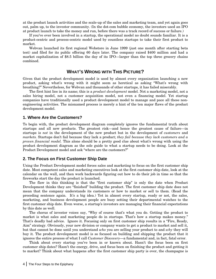at the product launch activities and the scale-up of the sales and marketing team, and yet again goes out, palm up, to the investor community. (In the dot-com bubble economy, the investors used an IPO at product launch to take the money and run, before there was a track record of success or failure.)

If you've ever been involved in a startup, the operational model no doubt sounds familiar. It is a product-centric and process-centric model used by countless startups to take their first product to market.

Webvan launched its first regional Webstore in June 1999 (just one month after starting beta test) and filed for its public offering 60 days later. The company raised \$400 million and had a market capitalization of \$8.5 billion the day of its IPO—larger than the top three grocery chains combined.

#### **WHAT'S WRONG WITH THIS PICTURE?**

Given that the product development model is used by almost every organization launching a new product, asking what's wrong with it might seem as heretical as asking "What's wrong with breathing?" Nevertheless, for Webvan and thousands of other startups, it has failed miserably.

The first hint lies in its name; this is a *product development* model. Not a marketing model, not a sales hiring model, not a customer acquisition model, not even a financing model. Yet startup companies have traditionally used a product development model to manage and pace all these nonengineering activities. The misnamed process is merely a hint of the ten major flaws of the product development model.

#### **1. Where Are the Customers?**

To begin with, the product development diagram completely ignores the fundamental truth about startups and all new products. The greatest risk—and hence the greatest cause of failure—in startups is *not* in the development of the new product but in the development of *customers* and *markets.* Startups don't fail because they lack a product; *they fail because they lack customers and a proven financial model.* This alone should be a pretty good clue about what's wrong with using the product development diagram as the sole guide to what a startup needs to be doing. Look at the Product Development model and ask "where are the customers?"

#### **2. The Focus on First Customer Ship Date**

Using the Product Development model forces sales and marketing to focus on the first customer ship date. Most competent sales and marketing executives look at the first customer ship date, look at the calendar on the wall, and then work backwards figuring out how to do their job in time so that the fireworks start the day the product is launched.

The flaw in this thinking is that the "first customer ship" is only the date when Product Development thinks they are "finished" building the product. The first customer ship date does not mean that the company understands its customers or how to market or sell to them. (Read the preceding sentence again. It's a big idea.) Yet in almost every startup, ready or not, the sales, marketing, and business development people are busy setting their departmental watches to the first customer ship date. Even worse, a startup's investors are managing their financial expectations by this date as well.

The chorus of investor voices say, "Why of course that's what you do. Getting the product to market is what sales and marketing people do in startups. That's how a startup makes money." That's deadly bad advice. Ignore it. Focusing only on first customer ship results in a "Fire, Ready, Aim" strategy. Obviously, your new division or company wants to get a product to market and sell it, but that cannot be done until you understand *who* you are selling your product to and *why* they will buy it. The product development model is so focused on building and shipping the product that it ignores the entire process of what I call *Customer Discovery*—a fundamental and, in fact, fatal error.

Think about every startup you've been in or known about. Hasn't the focus been on first customer ship dates? Hasn't the energy, drive, and focus been on finishing the product and getting it to market? Think about what happens after the first customer ship party is over, the champagne is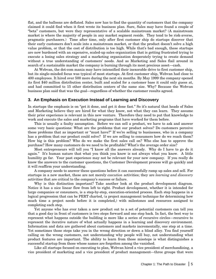flat, and the balloons are deflated. Sales now has to find the quantity of customers that the company claimed it could find when it first wrote its business plan. Sure, Sales may have found a couple of "beta" customers, but were they representative of a scalable mainstream market? (A mainstream market is where the majority of people in any market segment reside. They tend to be risk-averse, pragmatic purchasers.) Time after time, only after first customer ship do startups discover that their early customers don't scale into a mainstream market, or that the product doesn't solve a high value problem, or that the cost of distribution is too high. While that's bad enough, these startups are now burdened with an expensive, scaled-up sales organization that is getting frustrated trying to execute a losing sales strategy and a marketing organization desperately trying to create demand without a true understanding of customers' needs. And as Marketing and Sales flail around in search of a sustainable market the company is burning through its most precious asset—cash.

At Webvan, the dot-com mania may have intensified their inexorable drive to first customer ship, but its single-minded focus was typical of most startups. At first customer ship, Webvan had close to 400 employees. It hired over 500 more during the next six months. By May 1999 the company opened its first \$40 million distribution center, built and scaled for a customer base it could only guess at, and had committed to 15 other distribution centers of the same size. Why? Because the Webvan business plan said that was the goal—regardless of whether the customer results agreed.

#### **3. An Emphasis on Execution Instead of Learning and Discovery**

In startups the emphasis is on "get it done, and get it done fast." So it's natural that heads of Sales and Marketing believe they are hired for what they know, not what they can learn. They assume their prior experience is relevant in this new venture. Therefore they need to put that knowledge to work and execute the sales and marketing programs that have worked for them before.

This is usually a faulty assumption. Before we can sell a product, we have to ask and answer some very basic questions: What are the problems that our product solves? Do customers perceive these problems that as important or "must have?" If we're selling to businesses, who in a company has a problem that our product could solve? If we are selling to consumers how do we reach them? How big is this problem? Who do we make the first sales call on? Who else has to approve the purchase? How many customers do we need to be profitable? What's the average order size?

Most entrepreneurs will tell you "I know all the answers already. Why do I have to go do it again." It's human nature that what you think you know is not always what you know. A little humility go far. Your past experience may not be relevant for your new company. If you really do know the answers to the customer questions, the Customer Development process will go quickly and it will reaffirm your understanding.

A company needs to answer these questions before it can successfully ramp up sales and sell. For startups in a new market, these are not merely *execution* activities; they are *learning and discovery*  activities that are critical to the company's success or failure.

Why is this distinction important? Take another look at the product development diagram. Notice it has a nice linear flow from left to right. Product development, whether it is intended for large companies or consumers, is a step-by-step, execution-oriented process. Each step happens in a logical progression that can be PERT charted, (a project management technique for determining how much time a project needs before it is completed,) with milestones and resources assigned to completing each step.

Yet anyone who has ever taken a new product out to a set of potential customers can tell you that a good day in front of customers is two steps forward and one step back. In fact, the best way to represent what happens outside the building is more like a series of recursive circles—recursive to represent the iterative nature of what actually happens in a learning and discovery environment. Information and data are gathered about customers and markets incrementally, one step at a time. Yet sometimes those steps take you in the wrong direction or down a blind alley. You find yourself calling on the wrong customers, not understanding why people will buy, not understanding what product features are important. The ability to learn from those missteps is what distinguishes a successful startup from those whose names are forgotten among the vanished.

Like all startups focused on executing to plan, Webvan hired a vice president of merchandising, a vice president of marketing and a vice president of product management—three groups that were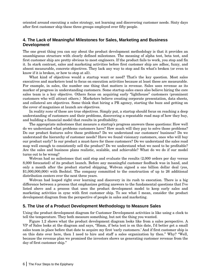oriented around executing a sales strategy, not learning and discovering customer needs. Sixty days after first customer ship these three groups employed over fifty people.

#### **4. The Lack of Meaningful Milestones for Sales, Marketing and Business Development**

The one great thing you can say about the product development methodology is that it provides an unambiguous structure with clearly defined milestones. The meaning of alpha test, beta test, and first customer ship are pretty obvious to most engineers. If the product fails to work, you stop and fix it. In stark contrast, sales and marketing activities before first customer ship are adhoc, fuzzy, and absent measurable, concrete objectives. They lack any way to stop and fix what's broken (or even to know if it is broken, or how to stop at all).

What kind of objectives would a startup want or need? That's the key question. Most sales executives and marketers tend to focus on execution activities because at least these are measurable. For example, in sales, the number one thing that matters is revenue. Sales uses revenue as its marker of progress in understanding customers. Some startup sales execs also believe hiring the core sales team is a key objective. Others focus on acquiring early "lighthouse" customers (prominent customers who will attract others.) Marketers believe creating corporate presentation, data sheets, and collateral are objectives. Some think that hiring a PR agency, starting the buzz and getting on the cover of magazines at launch are objectives.

In reality *none* of these are true objectives. Simply put, a startup should focus on reaching a deep understanding of customers and their problems, discovering a repeatable road map of how they buy, and building a financial model that results in profitability.

The appropriate milestones that measure a startup's progress answers these questions: How well do we understand what problems customers have? How much will they pay to solve those problems? Do our product features solve these problems? Do we understand our customers' business? Do we understand the hierarchy of customer needs? Have we found visionary customers, ones who will buy our product early? Is our product a must-have for these customers? Do we understand the sales road map well enough to consistently sell the product? Do we understand what we need to be profitable? Are the sales and business plans realistic, scalable, and achievable? What do we do if our model turns out to be wrong?

Webvan had no milestones that said stop and evaluate the results (2,000 orders per day versus 8,000 forecasted) of its product launch. Before any meaningful customer feedback was in hand, and only a month after the product started shipping, Webvan signed a one billion dollar deal (yes, \$1,000,000,000) with Bechtel. The company committed to the construction of up to 26 additional distribution centers over the next three years.

Webvan had leaped right over learning and discovery in its rush to execution. There is a big difference between a process that emphasizes getting answers to the fundamental questions that I've listed above and a process that uses the product development model to keep early sales and marketing activities in sync with first customer ship. To see what I mean, consider the product development diagram from the perspective of people in sales and marketing.

#### **5. The Use of a Product Development Methodology to Measure Sales**

Using the product development diagram for Customer Development activities is like using a clock to tell the temperature. They both measure something, but not the thing you wanted.

Figure 1.2 shows what the product development diagram looks like from a sales perspective. A VP of Sales looks at the diagram and says, "Hmm, if beta test is on this date, I'd better get a small sales team in place before that date to acquire my first 'early customers.' And if first customer ship is on this date over here, then I need to hire and staff a sales organization by then." Why? "Well, because the revenue plan we promised the investors shows us generating customer revenue from the day of first customer ship."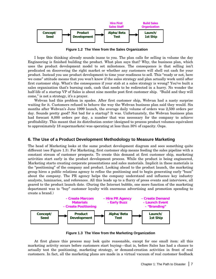

**Figure 1.2 The View from the Sales Organization** 

I hope this thinking already sounds inane to you. The plan calls for selling in volume the day Engineering is finished building the product. What plan says that? Why, the business plan, which uses the product development model to set milestones. The consequence is that selling isn't predicated on discovering the right market or whether any customers will shell out cash for your product. Instead you use product development to time your readiness to sell. This "ready or not, here we come" attitude means that you won't know if the sales strategy and plan actually work until after first customer ship. What's the consequence if your stab at a sales strategy is wrong? You've built a sales organization that's burning cash, cash that needs to be redirected in a hurry. No wonder the half-life of a startup VP of Sales is about nine months post first customer ship. "Build and they will come," is not a strategy, it's a prayer.

Webvan had this problem in spades. After first customer ship, Webvan had a nasty surprise waiting for it. Customers refused to behave the way the Webvan business plan said they would. Six months after Webvan's June 1999 launch, the average daily volume of orders was 2,500 orders per day. Sounds pretty good? Not bad for a startup? It was. Unfortunately, the Webvan business plan had forecast 8,000 orders per day, a number that was necessary for the company to achieve profitability. This meant that its distribution center (designed to process product volumes equivalent to approximately 18 supermarkets) was operating at less than 30% of capacity. Oops.

#### **6. The Use of a Product Development Methodology to Measure Marketing**

The head of Marketing looks at the same product development diagram and sees something quite different (see Figure 1.3). For Marketing, first customer ship means feeding the sales pipeline with a constant stream of customer prospects. To create this demand at first customer ship, marketing activities start early in the product development process. While the product is being engineered, Marketing starts creating corporate presentations and sales materials. Implicit in these materials is the "positioning" of the company and product. Looking ahead to the product launch, the marketing group hires a public relations agency to refine the positioning and to begin generating early "buzz" about the company. The PR agency helps the company understand and influence key industry analysts, luminaries, and references. All this leads up to a flurry of press events and interviews, all geared to the product launch date. (During the Internet bubble, one more function of the marketing department was to "buy" customer loyalty with enormous advertising and promotion spending to create a brand.)



**Figure 1.3 The View from the Marketing Organization** 

At first glance this process may look quite reasonable, except for one small item: all this marketing activity occurs before customers start buying—that is, before Sales has had a chance to actually test the positioning, marketing strategy, or demand-creation activities in front of real customers. In fact, all the marketing plans are made in a virtual vacuum of real customer feedback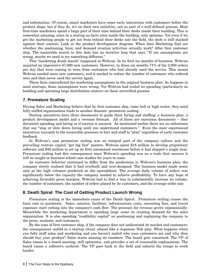and information. Of course, smart marketers have some early interaction with customers before the product ships, but if they do, it's on their own initiative, not as part of a well-defined process. Most first-time marketers spend a large part of their time behind their desks inside their building. This is somewhat amazing, since in a startup no facts exist inside the building, only opinions. Yet even if we get the marketing people to get out from behind their desks into the field, the deck is still stacked against their success. Look at the product development diagram. When does Marketing find out whether the positioning, buzz, and demand creation activities actually work? After first customer ship. The inexorable march to this date has no iterative loop that says, "If our assumptions are wrong, maybe we need to try something different."

This "marketing death march" happened at Webvan. In its first six months of business, Webvan acquired an impressive 47,000 new customers. However, in those six months 71% of the 2,000 orders per day that were coming in were from customers who had already used the service. This meant Webvan needed more new customers, and it needed to reduce the number of customers who ordered once and then never used the service again.

These facts contradicted the marketing assumptions in the original business plan. As happens in most startups, those assumptions were wrong. Yet Webvan had scaled its spending (particularly on building and operating large distribution centers) on these unverified guesses.

#### **7. Premature Scaling**

Having Sales and Marketing believe that by first customer ship, come hell or high water, they need fully staffed organizations leads to another disaster: premature scaling.

Startup executives have three documents to guide their hiring and staffing; a business plan, a product development model and a revenue forecast. All of these are execution documents – they document spending and hiring as if success is assured. As mentioned earlier there are no milestones that say "stop or slow down hiring until you understand customers." Even the most experienced executives succumb to the inexorable pressure to hire and staff to "plan" regardless of early customer feedback.

In Webvan's case premature scaling was an integral part of the company culture and the prevailing venture capital "get big fast" mantra. Webvan spent \$18 million to develop proprietary software and \$40 million to set up its first automated warehouse before it had shipped a single item. Premature scaling had dire consequences since Webvan's spending was on a scale that ensures it will be taught in business school case studies for years to come.

As customer behavior continued to differ from the predictions in Webvan's business plan, the company slowly realized that it had overbuilt and over-designed. The business model made sense only at the high volumes predicted on the spreadsheet. The average daily volume of orders was significantly below the capacity the company needed to achieve profitability. To have any hope of achieving favorable gross margins, Webvan had to find a way to substantially increase its volume, the number of customers, the number of orders placed by its customers, and the average order size.

#### **8. Death Spiral: The Cost of Getting Product Launch Wrong**

Premature scaling is the immediate cause of the Death Spiral. Premature scaling causes the burn rate to accelerate. Sales, salaries, facilities, infrastructure costs, recruiting fees, and travel expenses start cutting into the company's cash flow. The pressure for revenue grows exponentially. Meanwhile the marketing department is spending large sums on creating demand for the sales organization. It is also spending "credibility capital" on positioning and explaining the company to the press, analysts, and customers.

By the time of first customer ship, if the company does not understand its market and customers, the consequences unfold in a startup ritual, almost like a Japanese Noh play. What happens when you fully staff sales and marketing and you haven't nailed who your customers are and why they should buy your product? Sales starts missing its numbers. The board gets concerned. The VP of Sales comes to a board meeting, still optimistic, and provides a set of reasonable explanations. The board raises a collective eyebrow. The VP goes back to the field and exhorts the troops to work harder.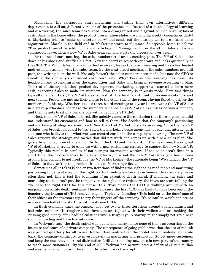Meanwhile, the salespeople start inventing and testing their own alternatives—different departments to call on, different versions of the presentations. Instead of a methodology of learning and discovering, the sales team has turned into a disorganized and disgruntled mob burning lots of cash. Back in the home office, the product presentation slides are changing weekly (sometimes daily) as Marketing tries to "make up a better story" and sends out the latest pitch to a confused sales organization. Morale in the field and in Marketing starts to plummet. Salespeople begin to believe "This product cannot be sold; no one wants to buy it." Management fires the VP of Sales and a few salespeople leave. Then a new VP of Sales comes in and starts the process all over again.

By the next board meeting, the sales numbers still aren't meeting plan. The VP of Sales looks down at his shoes and shuffles his feet. Now the board raises both eyebrows and looks quizzically at the CEO. The VP of Sales, forehead bathed in sweat, leaves the board meeting and has a few heated motivational sessions with the sales team. By the next board meeting, if the sales numbers are still poor, the writing is on the wall. Not only haven't the sales numbers been made, but now the CEO is sweating the company's continued cash burn rate. Why? Because the company has based its headcount and expenditures on the expectation that Sales will bring in revenue according to plan. The rest of the organization (product development, marketing, support) all started to burn more cash, expecting Sales to make its numbers. Now the company is in crisis mode. Here two things typically happen. First, the VP of Sales is toast. At the final board meeting no one wants to stand next to him. People are moving their chairs to the other side of the room. Having failed to deliver the numbers, he's history. Whether it takes three board meetings or a year is irrelevant; the VP of Sales in a startup who does not make the numbers is called an ex-VP of Sales (unless he was a founder, and then he gets to sit in a penalty box with a nebulous VP title).

Next, the new VP of Sales is hired. She quickly comes to the conclusion that the company just did not understand its customers and how to sell to them. She decides that the company's positioning and marketing strategy were incorrect. Now the VP of Marketing starts sweating. Since the new VP of Sales was brought on board to "fix" sales, the marketing department has to react and interact with someone who believes that whatever was created earlier in the company was wrong. The new VP of Sales reviews the strategy and tactics that did not work and comes up with a new sales plan. She gets a brief honeymoon of a few months from the CEO and the board. In the meantime, the original VP of Marketing is trying to come up with a new positioning strategy to support the new Sales VP. Typically this results in conflict, if not outright internecine warfare. If the sales aren't fixed in a short time, the next executive to be looking for a job is not the new VP of Sales (she hasn't been around long enough to get fired), it's the VP of Marketing—the rationale being "We changed the VP of Sales, so that can't be the problem. It must be Marketing's fault."

Sometimes all it takes is one or two iterations of finding the right sales road map and marketing positioning to get a startup on the right track of finding exuberant customers. Unfortunately, more often than not, this is just the beginning of an executive death spiral. If changing the sales and marketing execs doesn't put the company on the right sales trajectory, the investors start talking the "we need the right CEO for this phase" talk. This means the CEO is walking around with an unspoken corporate death sentence. Moreover, since the first CEO was likely to have been one of the founders, the trauma of CEO removal begins. Typically, founding CEOs hold on to the doorframe of their offices as the investors try to pry their fingers off the company. It's painful to watch and occurs in more than half of the startups with first-time CEOs.

In flush economic times the company may get two or three iterations around a failed launch and bad sales numbers. In tougher times investors are tighter with their wallets and are making the "tossing good money after bad" calculations with a frugal eye. A startup might simply not get a next round of funding and have to shut down.

In Webvan's case, the death spiral was public and messy, since none of this was occurring in the intimate enclosure of a private company. The consequence of going public was that the sea of red ink was printed quarterly for all to see. Rather than realize that the model was unrealistic and scale back, the company continued to invest heavily in marketing and promotion (to get more customers and keep the ones they had) and distribution facilities (building new ones in new parts of the country to reach more customers). By the end of 2000 Webvan had accumulated a deficit of \$612.7 million and was hemorrhaging cash. Seven months later, it was bankrupt.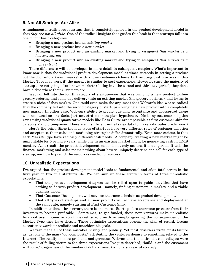#### **9. Not All Startups Are Alike**

A fundamental truth about startups that is completely ignored in the product development model is that *they are not all alike.* One of the radical insights that guides this book is that startups fall into one of four basic categories:

- Bringing a new product into an *existing market*
- Bringing a new product into a *new market*
- Bringing a new product into an existing market and trying to *resegment that market as a low-cost entrant*
- Bringing a new product into an existing market and trying to *resegment that market as a niche entrant*

These differences will be developed in more detail in subsequent chapters. What's important to know now is that the traditional product development model at times succeeds in getting a product out the door into a known market with known customers (choice 1). Executing past practices in this Market Type may work if the market is similar to past experiences. However, since the majority of startups are not going after known markets (falling into the second and third categories), they don't have a clue where their customers are.

Webvan fell into the fourth category of startup—one that was bringing a new product (online grocery ordering and same day delivery) into an existing market (the grocery business), and trying to create a niche of that market. One could even make the argument that Webvan's idea was so radical that the company fell into the second category of startups - bringing a new product into a completely new market. In either case, Webvan's ability to predict customer acceptance and widespread usage was not based on any facts, just untested business plan hypotheses. (Modeling customer adoption rates using traditional quantitative models like Bass Curve are impossible at first customer ship for category 2 and 3 companies. There aren't sufficient initial sales data to make valid sales predictions.)

Here's the point. Since the four types of startups have very different rates of customer adoption and acceptance, their sales and marketing strategies differ dramatically. Even more serious, is that each Market Type have radically different cash needs. A company creating a new market might be unprofitable for 5 or more years, while one in an existing market might be generating cash in 12-18 months. As a result, the product development model is not only useless, it is dangerous. It tells the finance, marketing and sales teams nothing about how to uniquely describe and sell for each type of startup, nor how to predict the resources needed for success.

#### **10. Unrealistic Expectations**

I've argued that the product development model leads to fundamental and often fatal errors in the first year or two of a startup's life. We can sum up these errors in terms of three unrealistic expectations:

- That the product development diagram can be relied upon to guide activities that have nothing to do with product development—namely, finding customers, a market, and a viable business model.
- That Customer Development will move on the same schedule as product development.
- That all types of startups and all new products will achieve acceptance and deployment at the same rate, namely starting at First Customer Ship.

In addition to these three errors, there is one more. Startups face enormous pressure from their investors to become profitable. Sometimes, to get funded, these new ventures make unrealistic financial assumptions – about market size, growth or simply ignoring the consequences of the Market Type they have chosen. These optimistic expectations become the plan of record, forcing execution towards unrealistic and unachievable goals.

Webvan made all of these mistakes, visibly and publicly. Yet most observers wrote off its failure as just one of the many "dot-com busts," attributing the venture's demise to something related to the Internet. The reality is more profound and germane. Webvan and the entire dot-com collapse were the result of falling victim to the three expectations I've just described; "build it and the customers will come," (regardless of the number of dollars raised) is not a successful strategy.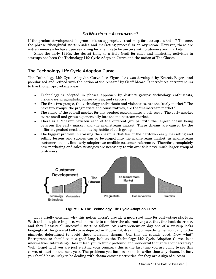#### **SO WHAT'S THE ALTERNATIVE?**

If the product development diagram isn't an appropriate road map for startups, what is? To some, the phrase "thoughtful startup sales and marketing process" is an oxymoron. However, there are entrepreneurs who have been searching for a template for success with customers and markets.

Since the early 1990s, the closest thing to a Holy Grail for sales and marketing activities in startups has been the Technology Life Cycle Adoption Curve and the notion of The Chasm.

#### **The Technology Life Cycle Adoption Curve**

The Technology Life Cycle Adoption Curve (see Figure 1.4) was developed by Everett Rogers and popularized and refined with the notion of the "chasm" by Geoff Moore. It introduces entrepreneurs to five thought-provoking ideas:

- Technology is adopted in phases approach by distinct groups: technology enthusiasts, visionaries, pragmatists, conservatives, and skeptics.
- The first two groups, the technology enthusiasts and visionaries, are the "early market." The next two groups, the pragmatists and conservatives, are the "mainstream market."
- The shape of the overall market for any product approximates a bell curve. The early market starts small and grows exponentially into the mainstream market.
- There is a "chasm" between each of the different groups, with the largest chasm being between the early market and the mainstream market. These chasms are caused by the different product needs and buying habits of each group.
- The biggest problem in crossing the chasm is that few of the hard-won early marketing and selling lessons and success can be leveraged into the mainstream market, as mainstream customers do not find early adopters as credible customer references. Therefore, completely new marketing and sales strategies are necessary to win over this next, much larger group of customers.



#### **Figure 1.4 The Technology Life Cycle Adoption Curve**

Let's briefly consider why this notion doesn't provide a good road map for early-stage startups. With this last piece in place, we'll be ready to consider the alternative path that this book describes, and that I assert all successful startups follow. An entrepreneur on day one of a startup looks longingly at the graceful bell curve depicted in Figure 1.4, dreaming of marching her company to the pinnacle, determined to avoid those fearsome chasms. Ok, this all sounds good. Now what? Entrepreneurs should take a good long look at the Technology Life Cycle Adoption Curve. Is it informative? Interesting? Does it lead you to think profound and wonderful thoughts about strategy? Well, forget it. If you are just starting your company this is the last time you are going to see this curve, at least for the next year. The problems you face occur much earlier than any chasm. In fact, you should be so lucky to be dealing with chasm-crossing activities, for they are a sign of success.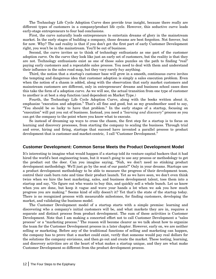The Technology Life Cycle Adoption Curve does provide true insight, because there really are different types of customers in a company/product life cycle. However, this seductive curve leads early-stage entrepreneurs to four bad conclusions.

First, the curve naturally leads entrepreneurs to entertain dreams of glory in the mainstream market. In the early stages of building a company, those dreams are best forgotten. Not forever, but for now. Why? The sad reality is that if you don't get the first part of early Customer Development right, you won't be in the mainstream. You'll be out of business.

Second, the curve invites us to think of technology enthusiasts as one part of the customer adoption curve. On the curve they look like just an early set of customers, but the reality is that they are not. Technology enthusiasts exist as one of those sales puzzles on the path to finding "real" paying early customers and a repeatable sales process. You need to deal with them and understand their influence in the sales road map, but they vary rarely *buy* anything.

Third, the notion that a startup's customer base will grow in a smooth, continuous curve invites the tempting and dangerous idea that customer adoption is simply a sales execution problem. Even when the notion of a chasm is added, along with the observation that early market customers and mainstream customers are different, only in entrepreneurs' dreams and business school cases does this take the form of a adoption curve. As we will see, the actual transition from one type of customer to another is at best a step function (and dependent on Market Type.)

Fourth, the Technology Life Cycle Adoption Curve, along with the books written about it, emphasize "execution and adoption." That's all fine and good, but as my grandmother used to say, "You should be so lucky to have that problem." In the early stages of a startup, focusing on "execution" will put you out of business. Instead, you need a *"learning and discovery"* process so you can get the company to the point where you know what to execute.

So instead of dreaming up ways to cross the chasm, the first step for a startup is to focus on learning and discovery processes, from starting the company to scaling the business. Through trial and error, hiring and firing, startups that succeed have invented a parallel process to product development that is customer-and market-centric, I call "Customer Development."

#### **Customer Development: Common Sense Meets the Product Development Model**

It's interesting to imagine what would happen if a startup told its venture capital backers that it had hired the world's best engineering team, but it wasn't going to use any process or methodology to get the product out the door. Can you imagine saying, "Nah, we don't need no stinking product development methodology. We'll just go by the seat of our pants?" Only in your dreams. Startups use a product development methodology to be able to measure the progress of their development team, control their cash burn rate and time their product launch. Yet as we have seen, we don't even think twice when we hire the best marketing, sales, and business development talent, toss them into a startup and say, "Go figure out who wants to buy this, and quickly sell a whole bunch. Let us know when you are done, but keep it vague and wave your hands a lot when we ask you how much progress you are making." Seems kind of silly doesn't it? Yet that's the state of the startup today. There is no recognized process with measurable milestones, for finding customers, developing the market, and validating the business model.

The Customer Development model of a startup starts with a simple premise: learning and discovering who a company's initial customers will be, and what markets they are in, requires a separate and distinct process from product development. The sum of these activities is Customer Development. Note that I am making a concerted effort not to call Customer Development a "sales process" or a "marketing process." The reason will become clearer as we talk about how to organize the team for the Customer Development process in a later chapter. However, early on, we are neither selling or marketing. Before any of the traditional functions of selling and marketing can happen, the company has to prove that a market could exist, verify that someone would pay real dollars for the solutions the company envisions, and then go out and create the market. These testing, learning, and discovery activities are at the heart of what makes a startup unique, and they are what make Customer Development so different from the product development process.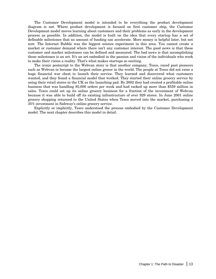The Customer Development model is intended to be everything the product development diagram is not. Where product development is focused on first customer ship, the Customer Development model moves learning about customers and their problems as early in the development process as possible. In addition, the model is built on the idea that every startup has a set of definable milestones that no amount of funding can accelerate. More money is helpful later, but not now. The Internet Bubble was the biggest science experiment in this area. You cannot create a market or customer demand where there isn't any customer interest. The good news is that these customer and market milestones can be defined and measured. The bad news is that accomplishing these milestones is an art. It's an art embodied in the passion and vision of the individuals who work to make their vision a reality. That's what makes startups so exciting.

The ironic postscript to the Webvan story is that another company, Tesco, raced past pioneers such as Webvan to become the largest online grocer in the world. The people at Tesco did not raise a huge financial war chest to launch their service. They learned and discovered what customers wanted, and they found a financial model that worked. They started their online grocery service by using their retail stores in the UK as the launching pad. By 2002 they had created a profitable online business that was handling 85,000 orders per week and had racked up more than \$559 million in sales. Tesco could set up its online grocery business for a fraction of the investment of Webvan because it was able to build off its existing infrastructure of over 929 stores. In June 2001 online grocery shopping returned to the United States when Tesco moved into the market, purchasing a 35% investment in Safeway's online grocery service.

Explicitly or implicitly, Tesco understood the process embodied by the Customer Development model. The next chapter describes this model in detail.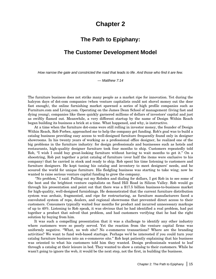## **Chapter 2**

## **The Path to Epiphany:**

## **The Customer Development Model**

*How narrow the gate and constricted the road that leads to life. And those who find it are few.* 

*— Matthew 7:14* 

The furniture business does not strike many people as a market ripe for innovation. Yet during the halcyon days of dot-com companies (when venture capitalists could not shovel money out the door fast enough), the online furnishing market spawned a series of high profile companies such as Furniture.com and Living.com. Operating on the James Dean School of management (living fast and dying young), companies like these quickly garnered millions of dollars of investors' capital and just as swiftly flamed out. Meanwhile, a very different startup by the name of Design Within Reach began building its business a brick at a time. What happened, and why, is instructive.

At a time when the furniture dot-coms were still rolling in investor money, the founder of Design Within Reach, Rob Forbes, approached me to help the company get funding. Rob's goal was to build a catalog business providing easy access to well-designed furniture frequently found only in designer showrooms. In his twenty years of working as a professional office designer, he realized one of the big problems in the furniture industry: for design professionals and businesses such as hotels and restaurants, high-quality designer furniture took four months to ship. Customers repeatedly told Rob, "I wish I could buy great-looking furniture without having to wait months to get it." On a shoestring, Rob put together a print catalog of furniture (over half the items were exclusive to his company) that he carried in stock and ready to ship. Rob spent his time listening to customers and furniture designers. He kept tuning his catalog and inventory to meet designers' needs, and he scoured the world for unique furniture. His fledgling business was starting to take wing; now he wanted to raise serious venture capital funding to grow the company.

 "No problem," I said. Pulling out my Rolodex and dialing for dollars, I got Rob in to see some of the best and the brightest venture capitalists on Sand Hill Road in Silicon Valley. Rob would go through his presentation and point out that there was a \$17.5 billion business-to-business market for high-quality, well-designed furnishings. He demonstrated that the current furniture distribution system was archaic, fragmented, and ripe for restructuring, as furniture manufacturers faced a convoluted system of reps, dealers, and regional showrooms that prevented direct access to their customers. Consumers typically waited four months for product and incurred unnecessary markups of up to 40%. Listening to Rob speak, it was obvious that he had identified a real problem, had put together a product that solved that problem, and had customers verifying that he had the right solution by buying from him.

It was such a compelling presentation that it was a challenge to identify any other industry where customers were so poorly served. Yet the reaction from the venture capital firms was uniformly negative. "What, no web site? No e-commerce transactions? Where are the branding activities? We want to fund web-based startups. Perhaps we'd be interested if you could turn your catalog furniture business into an e-commerce site." Rob kept patiently explaining that his business was oriented to what his customers told him they wanted. Design professionals wanted to leaf through a catalog at their leisure in bed. They wanted to show a catalog to their customers. While he wasn't going to ignore the web, it would be the next step, not the first, in building the business.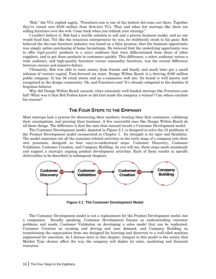"Rob," the VCs replied sagely, "Furniture.com is one of the hottest dot-coms out there. Together they've raised over \$100 million from first-tier VCs. They and other hot startups like them are selling furniture over the web. Come back when you rethink your strategy."

I couldn't believe it: Rob had a terrific solution to sell and a proven business model, and no one would fund him. Yet like the tenacious entrepreneur he was, he stubbornly stuck to his guns. Rob believed the dot.com furniture industry was based on a false premise, that the business opportunity was simply online purchasing of home furnishings. He believed that the underlying opportunity was to offer *high-quality* products to a *select* audience that were differentiated from those of other suppliers, and to get those products to customers quickly. This difference, a select audience versus a wide audience, and high-quality furniture versus commodity furniture, was the crucial difference between success and massive failure.

Ultimately, Rob was able to raise money from friends and family and much later got a small infusion of venture capital. Fast-forward six years. Design Within Reach is a thriving \$180 million public company. It has 56 retail stores and an e-commerce web site. Its brand is well known and recognized in the design community. Oh, and Furniture.com? It's already relegated to the dustbin of forgotten failures.

Why did Design Within Reach succeed, when extremely well funded startups like Furniture.com fail? What was it that Rob Forbes knew or did that made the company a winner? Can others emulate his success?

#### **THE FOUR STEPS TO THE EPIPHANY**

Most startups lack a process for discovering their markets, locating their first customers, validating their assumptions, and growing their business. A few successful ones like Design Within Reach do all these things. The difference is that the ones that succeed invent a Customer Development model.

The Customer Development model, depicted in Figure 2.1, is designed to solve the 10 problems of the Product Development model enumerated in Chapter 1. Its strength is its rigor and flexibility. The model separates out all the customer-related activities in the early stage of a company into their own processes, designed as four easy-to-understand steps: Customer Discovery, Customer Validation, Customer Creation, and Company Building. As you will see, these steps mesh seamlessly and support a startup's ongoing product development activities. Each of them results in specific deliverables to be described in subsequent chapters.



**Figure 2.1 The Customer Development Model** 

The Customer Development model is not a replacement for the Product Development model, but a companion. Broadly speaking, Customer Development focuses on understanding customer problems and needs, Customer Validation on developing a sales model that can be replicated, Customer Creation on creating and driving end user demand, and Company Building on transitioning the organization from one designed for learning and discovery to a well-oiled machine engineered for execution. As I discuss later in this chapter, integral to this model is the notion that Market Type choices affect the way the company will deploy its sales, marketing and financial resources.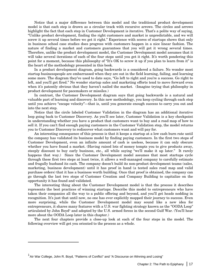Notice that a major difference between this model and the traditional product development model is that each step is drawn as a circular track with recursive arrows. The circles and arrows highlight the fact that each step in Customer Development is iterative. That's a polite way of saying, "Unlike product development, finding the right customers and market is unpredictable, and we will screw it up several times before we get it right." Experience with scores of startups shows that only in business school case studies does progress with customers happen in a nice linear fashion. The nature of finding a market and customers guarantees that you will get it wrong several times. Therefore, unlike the product development model, the Customer Development model assumes that it will take several iterations of each of the four steps until you get it right. It's worth pondering this point for a moment, because this philosophy of "It's OK to screw it up if you plan to learn from it" is the heart of the methodology presented in this book.

In a product development diagram, going backwards is a considered a failure. No wonder most startup businesspeople are embarrassed when they are out in the field learning, failing, and learning some more. The diagram they've used to date says, "Go left to right and you're a success. Go right to left, and you'll get fired." No wonder startup sales and marketing efforts tend to move forward even when it's patently obvious that they haven't nailed the market. (Imagine trying that philosophy in product development for pacemakers or missiles.)

In contrast, the Customer Development diagram says that going backwards is a natural and valuable part of learning and discovery. In this new methodology, you keep cycling through each step until you achieve "escape velocity"—that is, until you generate enough success to carry you out and into the next step.

Notice that the circle labeled Customer Validation in the diagram has an additional iterative loop going back to Customer Discovery. As you'll see later, Customer Validation is a key checkpoint in understanding whether you have a product that customers want to buy and a road map of how to sell it. If you can't find enough paying customers in the Customer Validation step, the model returns you to Customer Discovery to rediscover what customers want and will pay for.

An interesting consequence of this process is that it keeps a startup at a low cash burn rate until the company has validated its business model by finding paying customers. In the first two steps of Customer Development, even an infinite amount of cash is useless, because it can only obscure whether you have found a market. (Having raised lots of money tempts you to give products away, steeply discount to buy early business, etc., all while saying "we'll make it up later." It rarely happens that way.) Since the Customer Development model assumes that most startups cycle through these first two steps at least twice, it allows a well-managed company to carefully estimate and frugally husband its cash. The company doesn't build its non-product development teams (sales, marketing, business development) until it has proof in hand (a tested sales road map and valid purchase orders) that it has a business worth building. Once that proof is obtained, the company can go through the last two steps of Customer Creation and Company Building to capitalize on the opportunity it has found and validated.

The interesting thing about the Customer Development model is that the process it describes represents the best practices of winning startups. Describe this model to entrepreneurs who have taken their companies all the way to a public offering and beyond, and you'll get heads nodding in recognition. It's just that until now, no one has ever explicitly mapped their journey to success. Even more surprising, while the Customer Development model may sound like a new idea for entrepreneurs, it shares many features with a U.S. war fighting strategy known as the "OODA Loop" articulated by John Boyd<sup>1</sup> and adopted by the U.S. armed forces in the second Gulf War. (You'll hear more about the OODA Loop later in this chapter.)

The next four chapters provide a close-up look at each of the four steps in the model. The following overview will get you oriented to the process as a whole.

 $\overline{a}$ 

<sup>&</sup>lt;sup>1</sup> Air War College, John R. Boyd, "Patterns of Conflict" and "A Discourse on Winning and Losing"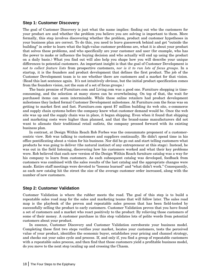#### **Step 1: Customer Discovery**

The goal of Customer Discovery is just what the name implies: finding out who the customers for your product are and whether the problem you believe you are solving is important to them. More formally, this step involves discovering whether the problem, product and customer hypotheses in your business plan are correct. To do this, you need to leave guesswork behind and get "outside the building" in order to learn what the high-value customer problems are, what it is about your product that solves these problems, and who specifically are your customer and user (for example, who has the power to make or influence the buying decision and who actually will end up using the product on a daily basis.) What you find out will also help you shape how you will describe your unique differences to potential customers. An important insight is that the goal of Customer Development is *not to collect feature lists* from prospective customers, *nor is it to run lots of focus groups*. In a startup, it is the founders and product development that defines the first product. The job of the Customer Development team is to see whether there are customers and a market for that vision. (Read this last sentence again. It's not intuitively obvious, but the initial product specification comes from the founders vision, not the sum of a set of focus groups.)

The basic premise of Furniture.com and Living.com was a good one. Furniture shopping is timeconsuming, and the selection at many stores can be overwhelming. On top of that, the wait for purchased items can seem interminable. While these online retailers had product development milestones they lacked formal Customer Development milestones. At Furniture.com the focus was on getting to market first and fast. Furniture.com spent \$7 million building its web site, e-commerce and supply chain systems before the company knew what customer demand would be. Once the web site was up and the supply chain was in place, it began shipping. Even when it found that shipping and marketing costs were higher than planned, and that the brand-name manufacturers did not want to alienate their traditional retail outlets, the company pressed forward with its existing business plan.

In contrast, at Design Within Reach Rob Forbes was the consummate proponent of a customercentric view. Rob was talking to customers and suppliers continually. He didn't spend time in his office pontificating about a vision for his business. Nor did he go out and start telling customers what products he was going to deliver (the natural instinct of any entrepreneur at this stage). Instead, he was out in the field listening, discovering how his customers worked and what their key problems were. Rob believed that each new version of the Design Within Reach furniture catalog was a way for his company to learn from customers. As each subsequent catalog was developed, feedback from customers was combined with the sales results of the last catalog and the appropriate changes were made. Entire staff meetings were devoted to "lessons learned" and "what didn't work." Consequently, as each new catalog hit the street the size of the average customer order increased, along with the number of new customers.

#### **Step 2: Customer Validation**

Customer Validation is where the rubber meets the road. The goal of this step is to build a repeatable sales road map for the sales and marketing teams that will follow later. The sales road map is the playbook of the proven and repeatable sales process that has been field-tested by successfully selling the product to early customers. Customer Validation proves that you have found a set of customers and a market who react positively to the product: By relieving those customers of some of their money. A customer purchase in this step validates lots of polite words from potential customers about your product.

In essence, Customer Discovery and Customer Validation corroborate your business model. Completing these first two steps verifies your market, locates your customers, tests the perceived value of your product, identifies the economic buyer, establishes your pricing and channel strategy, and checks out your sales cycle and process. If, and only if, you find a group of repeatable customers with a repeatable sales process, and then find that those customers yield a profitable business model, do you move to the next step (scaling up and crossing the Chasm.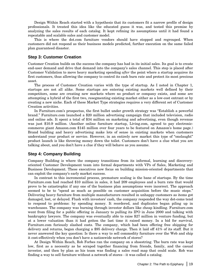Design Within Reach started with a hypothesis that its customers fit a narrow profile of design professionals. It treated this idea like the educated guess it was, and tested this premise by analyzing the sales results of each catalog. It kept refining its assumptions until it had found a repeatable and scalable sales and customer model.

This is where the dot.com furniture vendors should have stopped and regrouped. When customers did not respond as their business models predicted, further execution on the same failed plan guaranteed disaster.

#### **Step 3: Customer Creation**

Customer Creation builds on the success the company has had in its initial sales. Its goal is to create end-user demand and drive that demand into the company's sales channel. This step is placed after Customer Validation to move heavy marketing spending *after* the point where a startup acquires its first customers, thus allowing the company to control its cash burn rate and protect its most precious asset.

The process of Customer Creation varies with the type of startup. As I noted in Chapter 1, startups are not all alike. Some startups are entering existing markets well defined by their competitors, some are creating new markets where no product or company exists, and some are attempting a hybrid of the first two, resegmenting existing market either as a low-cost entrant or by creating a new niche. Each of these Market Type strategies requires a very different set of Customer Creation activities.

In Furniture.com's prospectus, the first bullet under growth strategy was "Establish a powerful brand." Furniture.com launched a \$20 million advertising campaign that included television, radio and online ads. It spent a total of \$34 million on marketing and advertising, even though revenue was just \$10.9 million. (Another online furniture startup, Living.com, agreed to pay electroniccommerce giant Amazon.com \$145 million over four years to be featured on Amazon's home page.) Brand building and heavy advertising make lots of sense in existing markets when customers understand your product or service. However, in an entirely new market this type of "onslaught" product launch is like throwing money down the toilet. Customers don't have a clue what you are talking about, and you don't have a clue if they will behave as you assume.

#### **Step 4: Company Building**

Company Building is where the company transitions from its informal, learning and discoveryoriented Customer Development team into formal departments with VPs of Sales, Marketing and Business Development. These executives now focus on building mission-oriented departments that can exploit the company's early market success.

In contrast to this incremental process, premature scaling is the bane of startups. By the time Furniture.com had reached \$10 million in sales, it had 209 employees and a burn rate that would prove to be catastrophic if any one of the business plan assumptions were incorrect. The approach seemed to be to "spend as much as possible on customer acquisition before the music stops." Delivering heavy furniture from multiple manufacturers resulted in unhappy customers as items got damaged, lost, or delayed. Flush with investors' cash, the company responded the way dot-coms tend to respond to problems: by spending money. It reordered, and duplicates began piling up in warehouses. The company was burning through investor dollars like cheap kindling. Furniture.com went from filing for a public offering in January to pulling its IPO in June 2000 and talking with bankruptcy lawyers. The company was eventually able to raise \$27 million in venture funding, but at a lower valuation than it had gotten the last time it raised money. In a bid for survival, Furniture.com furiously slashed costs. The company, which had been offering free shipping for delivery and returns, began charging a \$95 delivery charge. Then it laid off 41% of its staff. But it never answered the key question: Is there a way to sell commodity furniture over the Web and ship it cost-effectively when you don't have a nationwide network of stores?

At Design Within Reach, Rob Forbes ran the company on a shoestring. The burn rate was kept low, first as a necessity as he scraped together financing from friends, family, and the casual investor, and then by plan as his team was finding a sales road map that could scale. Rob was finding a way to sell furniture without a network of stores - it was called a catalog.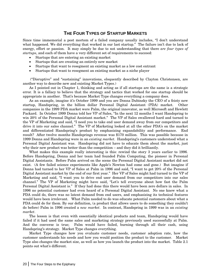### **THE FOUR TYPES OF STARTUP MARKETS**

Since time immemorial a post mortem of a failed company usually includes, "I don't understand what happened. We did everything that worked in our last startup." The failure isn't due to lack of energy, effort or passion. It may simply be due to not understanding that there *are four types of startups*, and each of them have a very different set of requirements to succeed:

- Startups that are entering an existing market
- Startups that are creating an entirely new market
- Startups that want to resegment an existing market as a low cost entrant
- Startups that want to resegment an existing market as a niche player

 ("Disruptive" and "sustaining" innovations, eloquently described by Clayton Christensen, are another way to describe new and existing Market Types.)

As I pointed out in Chapter 1, thinking and acting as if all startups are the same is a strategic error. It is a fallacy to believe that the strategy and tactics that worked for one startup should be appropriate in another. That's because Market Type changes everything a company does.

As an example, imagine it's October 1999 and you are Donna Dubinsky the CEO of a feisty new startup, Handspring, in the billion dollar Personal Digital Assistant (PDA) market. Other companies in the 1999 PDA market were Palm, the original innovator, as well Microsoft and Hewlett Packard. In October 1999 Donna told her VP of Sales, "In the next 12 months I want Handspring to win 20% of the Personal Digital Assistant market." The VP of Sales swallowed hard and turned to the VP of Marketing and said, "I need you to take end user demand away from our competitors and drive it into our sales channel." The VP of Marketing looked at all the other PDA's on the market and differentiated Handspring's product by emphasizing expandability and performance. End result? After twelve months Handsprings revenue was \$170 million. This was possible because in 1999 Donna and Handspring were in an *existing market*. Handspring's customers understood what a Personal Digital Assistant was. Handspring did not have to educate them about the market, just why their new product was better than the competition – and they did it brilliantly.

What makes this example really interesting is this: rewind the story 3 years earlier to 1996. Before Handspring, Donna and her team had founded Palm Computing, the pioneer in Personal Digital Assistants. Before Palm arrived on the scene the Personal Digital Assistant market did not exist. (A few failed science experiments like Apple's Newton had come and gone.) But imagine if Donna had turned to her VP of Sales at Palm in 1996 and said, "I want to get 20% of the Personal Digital Assistant market by the end of our first year." Her VP of Sales might had turned to the VP of Marketing and said, "I want you to drive end user demand from our competitors into our sales channel." The VP of Marketing might have said, "Let's tell everyone about how fast the Palm Personal Digital Assistant is." If they had done this there would have been zero dollars in sales. In 1996 no potential customer had even heard of a Personal Digital Assistant. No one knew what a PDA could do, there was no latent demand from end users, and emphasizing its technical features would have been irrelevant. What Palm needed to do was educate potential customers about what a PDA could do for them. By our definition, (a product that allows users to do something they couldn't do before) Palm in 1996 created a *new market*. In contrast, Handspring in 1999 was in an *existing market*.

The lesson is that even with essentially identical products and team, Handspring would have failed if it had used the same sales and marketing strategy previously used successfully at Palm. And the converse is true; Palm would have failed, burning through all their cash, using Handspring's strategy. Market Type changes everything.

Market Type changes how you evaluate customer needs, customer adoption rate, how the customer understands his needs and how you would position the product to the customer. Market Type also changes the market size, as well as how you launch the product into the market. Table 2.1 points out what's different.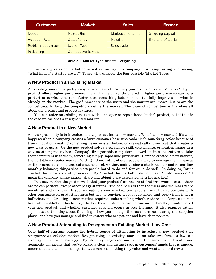| <b>Customers</b>     | <b>Market</b>               | <b>Sales</b>                | <b>Finance</b>        |
|----------------------|-----------------------------|-----------------------------|-----------------------|
| <b>Needs</b>         | <b>Market Size</b>          | <b>Distribution channel</b> | On going capital      |
| <b>Adoption Rate</b> | Cost of entry               | <b>Margins</b>              | Time to profitability |
| Problem recognition  | Launch Type                 | Sales cycle                 |                       |
| Positioning          | <b>Competitive Barriers</b> |                             |                       |

#### **Table 2.1 Market Type Affects Everything**

Before any sales or marketing activities can begin, a company must keep testing and asking, "What kind of a startup are we?" To see why, consider the four possible "Market Types."

#### **A New Product in an Existing Market**

An existing market is pretty easy to understand. We say you are in an *existing market* if your product offers higher performance than what is currently offered. Higher performance can be a product or service that runs faster, does something better or substantially improves on what is already on the market. The good news is that the users and the market are known, but so are the competitors. In fact, the competitors define the market. The basis of competition is therefore all about the product and product features.

You can enter an existing market with a cheaper or repositioned "niche" product, but if that is the case we call that a resegmented market.

#### **A New Product in a New Market**

Another possibility is to introduce a new product into a new market. What's a new market? It's what happens when a company creates a large customer base who *couldn't do something before* because of true innovation creating something never existed before, or dramatically lower cost that creates a new class of users. Or the new product solves availability, skill, convenience, or location issues in a way no other product has. Compaq's first portable computers allowed business executives to take their computers with them, something simply impossible previously. Compaq created a new market, the portable computer market. With Quicken, Intuit offered people a way to manage their finances on their personal computers, automating check writing, maintaining a check register and reconciling monthly balances; things that most people hated to do and few could do well. In doing so, Intuit created the home accounting market. (By "created the market" I do not mean "first-to-market;" I mean the company whose market share and ubiquity are associated with the market.)

In a new market the good news is that your product features are at first irrelevant because there are no competitors (except other pesky startups). The bad news is that the users and the market are undefined and unknown. If you're creating a new market, your problem isn't how to compete with other companies on product features but how to convince a set of customers that your vision is not a hallucination. Creating a new market requires understanding whether there is a large customer base who couldn't do this before, whether these customers can be convinced that they want or need your new product, and whether customer adoption occurs in your lifetime. It also requires rather sophisticated thinking about financing – how you manage the cash burn rate during the adoption phase, and how you manage and find investors who are patient and have deep pockets

#### **A New Product Attempting to Resegment an Existing Market: Low Cost**

Over half of startups pursue the hybrid course of attempting to introduce a new product that *resegments an existing market*. Resegmenting an existing market can take two forms: a low-cost strategy or a niche strategy. (By the way, segmentation is not the same as differentiation. Segmentation means that you've picked a clear and distinct spot in customers' minds that is unique, understandable, and, most important, concerns something they value and want and need now.)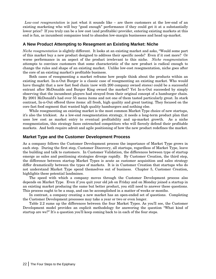*Low-cost resegmentation* is just what it sounds like – are there customers at the low-end of an existing marketing who will buy "good enough" performance if they could get it at a substantially lower price? If you truly can be a low cost (and profitable) provider, entering existing markets at this end is fun, as incumbent companies tend to abandon low-margin businesses and head up-market.

#### **A New Product Attempting to Resegment an Existing Market: Niche**

*Niche resegmentation* is slightly different. It looks at an existing market and asks, "Would some part of this market buy a new product designed to address their specific needs? Even if it cost more? Or worse performance in an aspect of the product irrelevant to this niche. *Niche resegmentation* attempts to convince customers that some characteristic of the new product is radical enough to change the rules and shape of an existing market. Unlike low-cost resegmentation, niche goes after the core of an existing market's profitable business.

Both cases of resegmenting a market reframe how people think about the products within an existing market. In-n-Out Burger is a classic case of resegmenting an existing market. Who would have thought that a new fast food chain (now with 200 company owned stores) could be a successful entrant after McDonalds and Burger King owned the market? Yet In-n-Out succeeded by simply observing that the incumbent players had strayed from their original concept of a hamburger chain. By 2001 McDonald's had over 55 menu items and not one of them tasted particularly great. In stark contrast, In-n-Out offered three items: all fresh, high quality and great tasting. They focused on the core fast food segment that wanted high quality hamburgers and nothing else.

While resegmenting an existing market is the most common Market Type choice of new startups, it's also the trickiest. As a low-end resegmentation strategy, it needs a long-term product plan that uses low cost as market entry to eventual profitability and up-market growth. As a niche resegmentation, this strategy faces entrenched competitors who will fiercely defend their profitable markets. And both require adroit and agile positioning of how the new product redefines the market.

#### **Market Type and the Customer Development Process**

As a company follows the Customer Development process the importance of Market Type grows in each step. During the first step, Customer Discovery, all startups, regardless of Market Type, leave the building and talk to customers. In Customer Validation, the differences between type of startup emerge as sales and positioning strategies diverge rapidly. By Customer Creation, the third step, the difference between startup Market Types is acute as customer acquisition and sales strategy differ dramatically between the types of markets. It is in Customer Creation that startups who do not understand Market Type spend themselves out of business. Chapter 5, Customer Creation, highlights these potential landmines.

The speed with which a company moves through the Customer Development process also depends on Market Type. Even if you quit your old job on Friday and on Monday joined a startup in an existing market producing the same but better product, you still need to answer these questions. This process ought to be a snap, and can be accomplished in a matter of weeks or months.

In contrast, a company creating a new market has an open-ended set of questions. Completing the Customer Development processes may take a year or two or even longer.

Table 2.2 sums up the differences between the four Market Types. As you'll see, the Customer Development model provides an explicit methodology for answering the question "What kind of startup are we?" It's a question you'll keep coming back to in each of the four steps.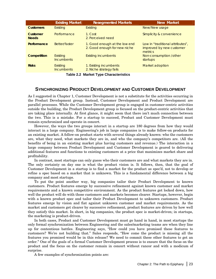|                                 | <b>Existing Market</b>               | <b>Resegmented Markets</b>                                    | <b>New Market</b>                                                       |
|---------------------------------|--------------------------------------|---------------------------------------------------------------|-------------------------------------------------------------------------|
| <b>Customers</b>                | <b>Existing</b>                      | <b>Existing</b>                                               | New/New usage                                                           |
| <b>Customer</b><br><b>Needs</b> | Performance                          | 1. Cost<br>2. Perceived need                                  | Simplicity & convenience                                                |
| Performance                     | <b>Better/faster</b>                 | 1. Good enough at the low end<br>2. Good enough for new niche | Low in "traditional attributes",<br>improved by new customer<br>metrics |
| <b>Competition</b>              | <b>Existing</b><br><b>Incumbents</b> | <b>Existing incumbents</b>                                    | Non-consumption / other<br>startups                                     |
| <b>Risks</b>                    | <b>Existing</b><br><b>Incumbents</b> | 1. Existing incumbents<br>2. Niche strategy fails             | Market adoption                                                         |

**Table 2.2 Market Type Characteristics** 

#### **SYNCHRONIZING PRODUCT DEVELOPMENT AND CUSTOMER DEVELOPMENT**

As I suggested in Chapter 1, Customer Development is not a substitute for the activities occurring in the Product Development group. Instead, Customer Development and Product Development are parallel processes. While the Customer Development group is engaged in customer-centric activities outside the building, the Product Development group is focused on the product-centric activities that are taking place internally. At first glance, it might seem that there isn't much connection between the two. This is a mistake. For a startup to succeed, Product and Customer Development must remain synchronized and operate in concert.

However, the ways the two groups interact in a startup are 180 degrees from how they would interact in a large company. Engineering's job in large companies is to make follow-on products for an existing market. A follow-on product starts with several things already known: who the customers are, what they need, what markets they are in, and who the company's competitors are. (All the benefits of being in an existing market plus having customers and revenue.) The interaction in a large company between Product Development and Customer Development is geared to delivering additional features and functions to existing customers at a price that maximizes market share and profitability.

In contrast, most startups can only guess who their customers are and what markets they are in. The only certainty on day one is what the product vision is. It follows, then, that the goal of Customer Development in a startup is to find a market for the product as spec'd, not to develop or refine a spec based on a market that is unknown. This is a fundamental difference between a big company and most startups.

To put the point another way, big companies tailor their Product Development to known customers. Product features emerge by successive refinement against known customer and market requirements and a known competitive environment. As the product features get locked down, how well the product will do with those customers and markets becomes clearer. Startups, however, begin with a known product spec and tailor their Product Development to unknown customers. Product features emerge by vision and fiat against unknown customer and market requirements. As the market and customers get clearer by successive refinement, product features are driven by how well they satisfy this market. In short, in big companies, the product spec is market-driven; in startups, the marketing is product-driven.

In both cases, Product and Customer Development must go hand in hand, in most startups the only formal synchronization between Engineering and the sales/marketing teams are when they line up for contentious battles. Engineering says, "How could you have promised these features to customers? We're not building that." Sales responds, "How come the product is missing all the features you promised would be in this release? We need to commit these other features to get an order." One of the goals of a formal Customer Development process is to ensure that the focus on the product and the focus on the customer remain in concert without rancor and with a modicum of surprise.

A few examples of synchronization points are: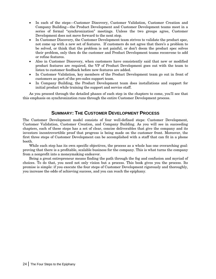- In each of the steps—Customer Discovery, Customer Validation, Customer Creation and Company Building—the Product Development and Customer Development teams meet in a series of formal "synchronization" meetings. Unless the two groups agree, Customer Development does not move forward to the next step.
- In Customer Discovery, the Customer Development team strives to validate the product spec, not come up with a new set of features. If customers do not agree that there's a problem to be solved, or think that the problem is not painful, or don't deem the product spec solves their problem, only then do the customer and Product Development teams reconvene to add or refine features.
- Also in Customer Discovery, when customers have consistently said that new or modified product features are required, the VP of Product Development goes out with the team to listen to customer feedback before new features are added.
- In Customer Validation, key members of the Product Development team go out in front of customers as part of the pre-sales support team.
- In Company Building, the Product Development team does installations and support for initial product while training the support and service staff.

As you proceed through the detailed phases of each step in the chapters to come, you'll see that this emphasis on synchronization runs through the entire Customer Development process.

#### **SUMMARY: THE CUSTOMER DEVELOPMENT PROCESS**

The Customer Development model consists of four well-defined steps: Customer Development, Customer Validation, Customer Creation, and Company Building. As you will see in succeeding chapters, each of these steps has a set of clear, concise deliverables that give the company and its investors incontrovertible proof that progress is being made on the customer front. Moreover, the first three steps of Customer Development can be accomplished with a staff that can fit in a phone booth.

While each step has its own specific objectives, the process as a whole has one overarching goal: proving that there is a profitable, scalable business for the company. This is what turns the company from a nonprofit into a moneymaking endeavor.

Being a great entrepreneur means finding the path through the fog and confusion and myriad of choices. To do that, you need not only vision but a process. This book gives you the process. Its premise is simple: if you execute the four steps of Customer Development rigorously and thoroughly, you increase the odds of achieving success, and you can reach the epiphany.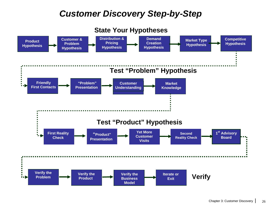## *Customer Discovery Step-by-Step*

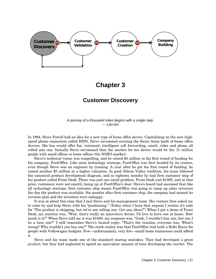

*A journey of a thousand miles begins with a single step. — Lao-tzu* 

In 1994, Steve Powell had an idea for a new type of home office device. Capitalizing on the new highspeed phone connection called ISDN, Steve envisioned creating the Swiss Army knife of home office devices. His box would offer fax, voicemail, intelligent call forwarding, email, video and phone all rolled into one. Initially Steve envisioned that the market for his device would be the 11 million people with small offices or home offices (the SOHO market).

Steve's technical vision was compelling, and he raised \$3 million in his first round of funding for his company, FastOffice. Like most technology startups, FastOffice was first headed by its creator, even though Steve was an engineer by training. A year after he got his first round of funding, he raised another \$5 million at a higher valuation. In good Silicon Valley tradition, his team followed the canonical product development diagram, and in eighteen months he had first customer ship of his product called Front Desk. There was just one small problem. Front Desk cost \$1395, and at that price, customers were not exactly lining up at FastOffice's door. Steve's board had assumed that like all technology startups, first customer ship meant FastOffice was going to ramp up sales revenues the day the product was available. Six months after first customer ship, the company had missed its revenue plan and the investors were unhappy.

It was at about this time that I met Steve and his management team. His venture firm asked me to come by and help Steve with his "positioning." (Today when I hear that request I realize it's code for "The product is shipping, but we're not selling any. Got any ideas?") When I got a demo of Front Desk, my reaction was, "Wow, that's really an innovative device. I'd love to have one at home. How much is it?" When Steve told me it was \$1400, my response was, "Gosh, I wouldn't buy one, but can I be a beta site?" I still remember Steve's heated reply: "That's the reaction everyone has. What's wrong? Why wouldn't you buy one?" The stark reality was that FastOffice had built a Rolls Royce for people with Volkswagen budgets. Few—unfortunately, very few—small home businesses could afford it.

Steve and his team made one of the standard startup mistakes. They had developed a great *product,* but they had neglected to spend an equivalent amount of time developing the *market.* The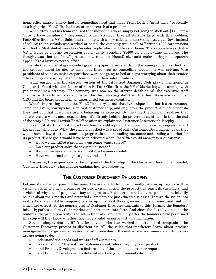home office market simply had no compelling need that made Front Desk a "must have," especially at a high price. FastOffice had a solution in search of a problem.

When Steve and his team realized that individuals were simply not going to shell out \$1400 for a "nice to have peripheral," they needed a new strategy. Like all startups faced with this problem, FastOffice fired its VP of Sales and came up with a new sales and marketing strategy. Now, instead of selling to individuals who worked at home, the company would sell to Fortune 1000 corporations who had a "distributed workforce"—salespeople who had offices at home. The rationale was that a VP of Sales of a large corporation could justify spending \$1400 on a high-value employee. The thought was that the "new" product, now renamed HomeDesk, could make a single salesperson appear like a large corporate office.

While the new strategy sounded great on paper, it suffered from the same problem as the first: the product might be nice to have, but there was no compelling problem it was solving. Vice presidents of sales at major corporations were not going to bed at night worrying about their remote offices. They were worrying about how to make their sales numbers.

What ensued was the startup version of the ritualized Japanese Noh play I mentioned in Chapter 1. Faced with the failure of Plan B, FastOffice fired the VP of Marketing and came up with yet another new strategy. The company was now on the startup death spiral: the executive staff changed with each new strategy. After the third strategy didn't work either, Steve was no longer CEO and the board brought in an experienced business executive.

What's interesting about the FastOffice story is not that it's unique but that it's so common. Time and again, startups focus on first customer ship, and only after the product is out the door do they find out that customers aren't behaving as expected. By the time the company realizes that sales revenues won't meet expectations, it's already behind the proverbial eight ball. Is this the end of the story? No, we'll revisit FastOffice after we explain the Customer Discovery philosophy.

Like most startups, FastOffice knew how to build a product and how to measure progress toward the product ship date. What the company lacked was a set of early Customer Development goals that would have allowed it to measure its progress in understanding customers and finding a market for its product. These goals would have been achieved when FastOffice could answer four questions:

- Have we identified a problem a customer wants solved?
- Does our product solve these customer needs?
- If so, do we have a viable and profitable business model?
- Have we learned enough to go out and sell?

Answering these questions is the purpose of the first step in the Customer Development model, Customer Discovery. This chapter explains how to go about it.

#### **THE CUSTOMER DISCOVERY PHILOSOPHY**

Let me state the purpose of Customer Discovery a little more formally. A startup begins with a vision: a vision of a new product or service, a vision of how the product will reach its customers, and a vision of why lots of people will buy that product. But most of what a startup's founders initially believe about their market and potential customers are just educated guesses. To turn the vision into reality (and a profitable company), a startup must test those guesses, or hypotheses, and find out which are correct. So the general goal of Customer Discovery amounts to this: turning the founders' initial hypotheses about their market and customers into facts. And since the facts live outside the building, the primary activity is to get in front of customers. Only after the founders have performed this step will they know whether they have a valid vision or just a hallucination.

Sounds simple, doesn't it? Yet for anyone who has worked in established companies, the Customer Discovery process is disorienting. All the rules that marketers learn about product management in large companies are turned upside down. It's instructive to enumerate all things you are *not* going to do:

- understand the needs and wants of *all* customers
- make a list of *all* the features customers want before they buy your product
- hand Product Development a features list of the sum of all customer requests
- hand Product Development a detailed marketing requirements document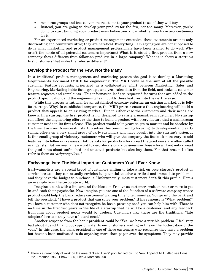- run focus groups and test customers' reactions to your product to see if they will buy
- Instead, you are going to develop your product for the few, not the many. Moreover, you're going to start building your product even before you know whether you have any customers for it.

For an experienced marketing or product management executive, these statements are not only disorienting and counterintuitive; they are heretical. Everything I am saying you are not supposed to do is what marketing and product management professionals have been trained to do well. Why aren't the needs of all potential customers important? What is it about a first product from a new company that's different from follow-on products in a large company? What is it about a startup's first customers that make the rules so different?

#### **Develop the Product for the Few, Not the Many**

 $\overline{a}$ 

In a traditional product management and marketing process the goal is to develop a Marketing Requirements Document (MRD) for engineering. The MRD contains the sum of all the possible customer feature requests, prioritized in a collaborative effort between Marketing, Sales and Engineering. Marketing holds focus groups, analyzes sales data from the field, and looks at customer feature requests and complaints. This information leads to requested features that are added to the product specification, and the engineering team builds these features into the next release.

While this process is rational for an established company entering an existing market, it is folly for startups. Why? In established companies, the MRD process ensures that engineering will build a product that appeals to an existing market. But in either case the customers and their needs are known. In a startup, the first product is *not* designed to satisfy a mainstream customer. No startup can afford the engineering effort or the time to build a product with every feature that a mainstream customer needs in its first release. The product would take years to get to market and be obsolete by the time it arrives. A successful startup solves this conundrum by focusing its development and early selling efforts on a very small group of early customers who have bought into the startup's vision. It is this small group of visionary customers who will give the company the feedback necessary to add features into follow-on releases. Enthusiasts for products who spread the good news are often called evangelists. But we need a new word to describe visionary *customers—*those who will not only spread the good news about unfinished and untested products but also buy them. For that reason I often refer to them as *earlyvangelists*.<sup>2</sup>

#### **Earlyvangelists: The Most Important Customers You'll Ever Know**

Earlyvangelists are a special breed of customers willing to take a risk on your startup's product or service because they can actually envision its potential to solve a critical and immediate problem and they have the budget to purchase it. Unfortunately, most customers don't fit this profile. Here's an example from the corporate world.

Imagine a bank with a line around the block on Fridays as customers wait an hour or more to get in and cash their paychecks. Now imagine you are one of the founders of a software company whose product could help the bank reduce customers' waiting time to ten minutes. You go into the bank and tell the president, "I have a product that can solve your problem." If his response is "What problem?" you have a customer who does not recognize he has a pressing need you can help him with. There is no time in the first two years in the life of a startup that he will be a customer, and any feedback from him about product needs would be useless. Customers like these are the traditional "late adopters" because they have a "latent need."

Another response from the bank president could be "Yes, we have a terrible problem. I feel very bad about it, and I hand out cups of water to our customers waiting in line on the hottest days of the year." In this case, the bank president is one of those customers who recognize they have a problem but haven't been motivated to do anything more than paper over the symptoms. They may provide

 $^2$  There's a great body of work on the area of "Lead Users" popularized by Eric Von Hippel of MIT. Also see Enos 1962, Freeman 1968, Shaw 1985, Lilen & Morrison 2001.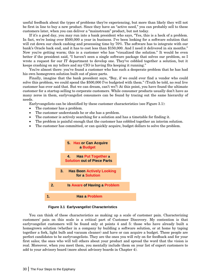useful feedback about the types of problems they're experiencing, but more than likely they will not be first in line to buy a new product. Since they have an "active need," you can probably sell to these customers later, when you can deliver a "mainstream" product, but not today.

If it's a good day, you may run into a bank president who says, "Yes, this is a heck of a problem. In fact, we're losing over \$500,000 a year in business. I've been looking for a software solution that will cut down our check cashing and processing time by 70%. The software has to integrate with our bank's Oracle back end, and it has to cost less than \$150,000. And I need it delivered in six months." Now you're getting warm; this is a customer who has "visualized the solution." It would be even better if the president said, "I haven't seen a single software package that solves our problem, so I wrote a request for our IT department to develop one. They've cobbled together a solution, but it keeps crashing on my tellers and my CIO is having fits keeping it running."

You're almost there: you've found a customer who has such a desperate problem that he has had his own homegrown solution built out of piece parts.

Finally, imagine that the bank president says, "Boy, if we could ever find a vendor who could solve this problem, we could spend the \$500,000 I've budgeted with them." (Truth be told, no real live customer has ever said that. But we can dream, can't we?) At this point, you have found the ultimate customer for a startup selling to corporate customers. While consumer products usually don't have as many zeros in them, earlyvangelist consumers can be found by tracing out the same hierarchy of needs.

Earlyvangelists can be identified by these customer characteristics (see Figure 3.1):

- The customer has a problem.
- The customer understands he or she has a problem.
- The customer is actively searching for a solution and has a timetable for finding it.
- The problem is painful enough that the customer has cobbled together an interim solution.
- The customer has committed, or can quickly acquire, budget dollars to solve the problem.



**Figure 3.1 Earlyvangelist Characteristics** 

You can think of these characteristics as making up a scale of customer pain. Characterizing customers' pain on this scale is a critical part of Customer Discovery. My contention is that earlyvangelist customers will be found only at points 4 and 5: those who have already built a homegrown solution (whether in a company by building a software solution, or at home by taping together a fork, light bulb and vacuum cleaner) and have or can acquire a budget. These people are perfect candidates to be earlyvangelists. They are the ones you will rely on for feedback and for your first sales; the ones who will tell others about your product and spread the word that the vision is real. Moreover, when you meet them, you mentally include them on your list of expert customers to add to your advisory board (more about advisory boards in Chapter 4).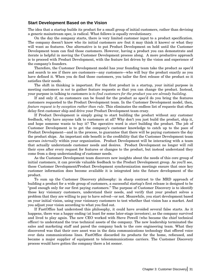#### **Start Development Based on the Vision**

The idea that a startup builds its product for a small group of initial customers, rather than devising a generic mainstream spec, is radical. What follows is equally revolutionary.

On the day the company starts, there is very limited customer input to a product specification. The company doesn't know who its initial customers are (but it may think it knows) or what they will want as features. One alternative is to put Product Development on hold until the Customer Development team can find those customers. However, having a product you can demonstrate and iterate is helpful in moving the Customer Development process along. A more productive approach is to proceed with Product Development, with the feature list driven by the vision and experience of the company's founders.

Therefore, the Customer Development model has your founding team take the product as spec'd and search to see if there are customers—any customers—who will buy the product exactly as you have defined it. When you do find those customers, you tailor the first release of the product so it satisfies their needs.

The shift in thinking is important. For the first product in a startup, your initial purpose in meeting customers is *not* to gather feature requests so that you can change the product. Instead, your purpose in talking to customers is *to find customers for the product you are already building.* 

If and only if, no customers can be found for the product as spec'd do you bring the features customers requested to the Product Development team. In the Customer Development model, then, *feature request is by exception rather than rule*. This eliminates the endless list of requests that often delay first customer ship and drive your Product Development team crazy.

If Product Development is simply going to start building the product without any customer feedback, why have anyone talk to customers at all? Why don't you just build the product, ship it, and hope someone wants to buy it? The operative word is *start* building the product. The job of Customer Development is to get the company's customer knowledge to catch up to the pace of Product Development—and in the process, to guarantee that there will be paying customers the day the product ships. An important side benefit is the credibility that the Customer Development team accrues *internally* within your organization. Product Development will be interacting with a team that actually understands customer needs and desires. Product Development no longer will roll their eyes after every request for features or changes to the product, but instead understand they come from a deep understanding of customer needs.

As the Customer Development team discovers new insights about the needs of this core group of initial customers, it can provide valuable feedback to the Product Development group. As you'll see, these Customer Development/Product Development synchronization meetings ensure that once key customer information does become available it is integrated into the future development of the product.

To sum up the Customer Discovery philosophy: in sharp contrast to the MRD approach of building a product for a wide group of customers, a successful startup's first release is designed to be "good enough only for our first paying customers." The purpose of Customer Discovery is to identify those key visionary customers, understand their needs, and verify that your product solves a problem that they are willing to pay to have solved—or not. Meanwhile, you start development based on your initial vision, using your visionary customers to test whether that vision has a market. And you adjust your vision according to what you find out.

If FastOffice had understood this philosophy, it could have avoided several false starts. As it happens, there was a happy ending (at least for some later-stage investors), as the company survived and lived to play again. The new CEO worked with Steve Powell (who became the chief technical officer) to understand the true technical assets of the company. The new leadership terminated the sales and marketing staff and pared the company back to the core engineering team. What they discovered was that their core asset was in the data communications technology that offered voice over data communications lines. FastOffice discarded its products for the home, refocused, and became a major supplier of equipment to telecommunications carriers. The Customer Discovery process would have gotten the company there a lot sooner.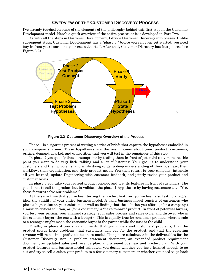#### **OVERVIEW OF THE CUSTOMER DISCOVERY PROCESS**

I've already touched on some of the elements of the philosophy behind this first step in the Customer Development model. Here's a quick overview of the entire process as it is developed in Part Two.

As with all the steps in Customer Development, I divide Customer Discovery into phases. Unlike subsequent steps, Customer Development has a "phase 0," before you can even get started, you need buy-in from your board and your executive staff. After that, Customer Discovery has four phases (see Figure 3.2).



**Figure 3.2 Customer Discovery: Overview of the Process** 

Phase 1 is a rigorous process of writing a series of briefs that capture the hypotheses embodied in your company's vision. These hypotheses are the assumptions about your product, customers, pricing, demand, market, and competition that you will test in the remainder of this step.

In phase 2 you qualify those assumptions by testing them in front of potential customers. At this point you want to do very little talking and a lot of listening. Your goal is to understand your customers and their problems, and while doing so get a deep understanding of their business, their workflow, their organization, and their product needs. You then return to your company, integrate all you learned, update Engineering with customer feedback, and jointly revise your product and customer briefs.

In phase 3 you take your revised product concept and test its features in front of customers. The goal is not to sell the product but to validate the phase 1 hypotheses by having customers say, "Yes, these features solve our problems."

At the same time that you've been testing the product features, you've been also testing a bigger idea: the validity of your entire business model. A valid business model consists of customers who place a high value on your solution, as well as finding that the solution you offer is, (for a company,) a mission-critical solution, or (for a consumer,) a "have-to-have" product. In front of potential buyers, you test your pricing, your channel strategy, your sales process and sales cycle, and discover who is the economic buyer (the one with a budget). This is equally true for consumer products where a sale to a teenager might mean the economic buyer is the parent while the user is the child.

Finally, in phase 4 you stop and verify that you understand customers' problems, that the product solves those problems, that customers will pay for the product, and that the resulting revenue will result in a profitable business model. This phase culminates in the deliverables for the Customer Discovery step: a problem statement document, an expanded product requirement document, an updated sales and revenue plan, and a sound business and product plan. With your product features and business model validated, you decide whether you have learned enough to go out and try to sell a select your product to a few visionary customers or whether you need to go back